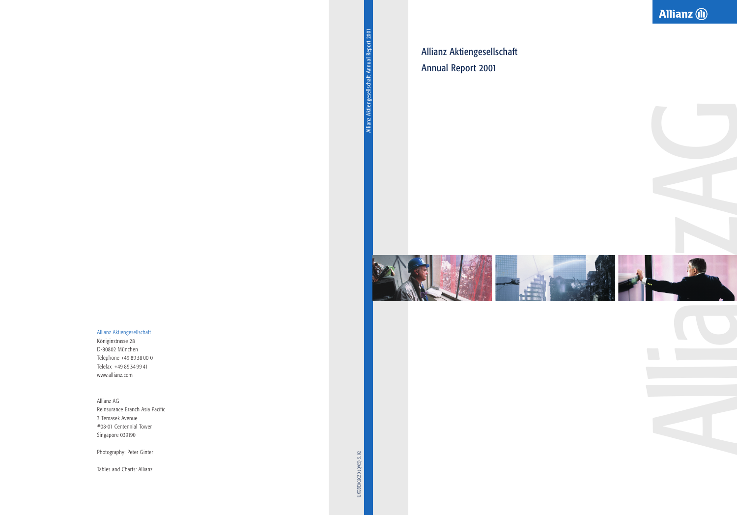Allianz Aktiengesellschaft Annual Report 2001



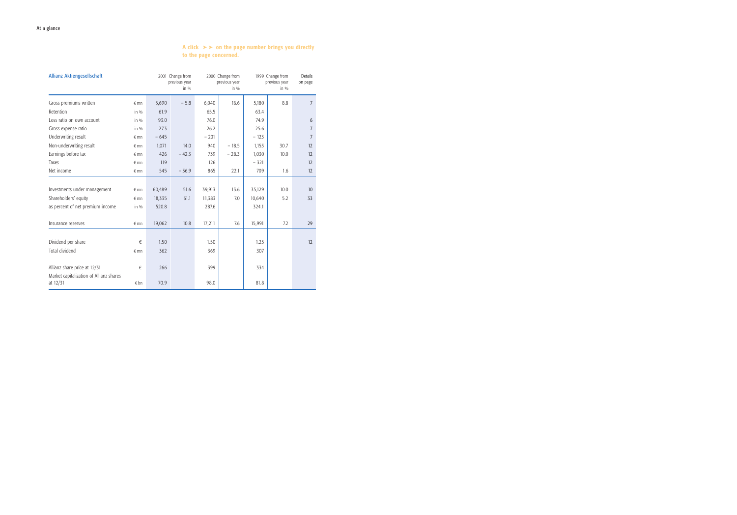# A click  $\rightarrow \rightarrow$  on the page number brings you directly to the page concerned.

| <b>Allianz Aktiengesellschaft</b>                   |               |        | 2001 Change from<br>previous year<br>in $\%$ | 2000 Change from<br>1999 Change from<br>previous year<br>in $\%$ |         | previous year<br>in $\%$ | <b>Details</b><br>on page |                |
|-----------------------------------------------------|---------------|--------|----------------------------------------------|------------------------------------------------------------------|---------|--------------------------|---------------------------|----------------|
| Gross premiums written                              | $\n  mn\n$    | 5,690  | $-5.8$                                       | 6,040                                                            | 16.6    | 5,180                    | 8.8                       | $\overline{7}$ |
| Retention                                           | in $\%$       | 61.9   |                                              | 65.5                                                             |         | 63.4                     |                           |                |
| Loss ratio on own account                           | in $\%$       | 93.0   |                                              | 76.0                                                             |         | 74.9                     |                           | 6              |
| Gross expense ratio                                 | in $\%$       | 27.3   |                                              | 26.2                                                             |         | 25.6                     |                           | $\overline{7}$ |
| Underwriting result                                 | $\epsilon$ mn | $-645$ |                                              | $-201$                                                           |         | $-123$                   |                           | $\overline{7}$ |
| Non-underwriting result                             | $\n  mn\n$    | 1,071  | 14.0                                         | 940                                                              | $-18.5$ | 1,153                    | 30.7                      | 12             |
| Earnings before tax                                 | $\notin$ mn   | 426    | $-42.3$                                      | 739                                                              | $-28.3$ | 1,030                    | 10.0                      | 12             |
| Taxes                                               | $\n  mn\n$    | 119    |                                              | 126                                                              |         | $-321$                   |                           | 12             |
| Net income                                          | $\epsilon$ mn | 545    | $-36.9$                                      | 865                                                              | 22.1    | 709                      | 1.6                       | 12             |
|                                                     |               |        |                                              |                                                                  |         |                          |                           |                |
| Investments under management                        | $\epsilon$ mn | 60,489 | 51.6                                         | 39,913                                                           | 13.6    | 35,129                   | 10.0                      | 10             |
| Shareholders' equity                                | $\n  mn\n$    | 18,335 | 61.1                                         | 11,383                                                           | 7.0     | 10,640                   | 5.2                       | 33             |
| as percent of net premium income                    | in $\%$       | 520.8  |                                              | 287.6                                                            |         | 324.1                    |                           |                |
|                                                     |               |        |                                              |                                                                  |         |                          |                           |                |
| Insurance reserves                                  | $\epsilon$ mn | 19,062 | 10.8                                         | 17,211                                                           | 7.6     | 15,991                   | 7.2                       | 29             |
|                                                     |               |        |                                              |                                                                  |         |                          |                           |                |
| Dividend per share                                  | €             | 1.50   |                                              | 1.50                                                             |         | 1.25                     |                           | 12             |
| Total dividend                                      | $\n  mn\n$    | 362    |                                              | 369                                                              |         | 307                      |                           |                |
|                                                     |               |        |                                              |                                                                  |         |                          |                           |                |
| Allianz share price at 12/31                        | €             | 266    |                                              | 399                                                              |         | 334                      |                           |                |
| Market capitalization of Allianz shares<br>at 12/31 | $\in$ bn      | 70.9   |                                              | 98.0                                                             |         | 81.8                     |                           |                |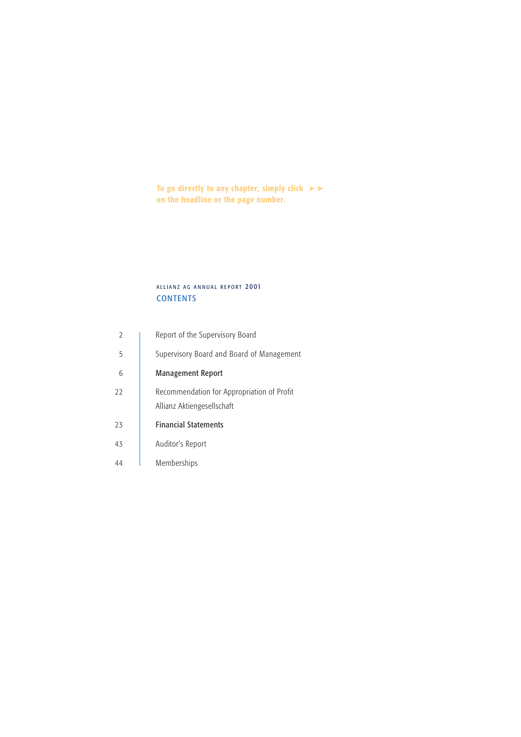To go directly to any chapter, simply click  $\blacktriangleright\blacktriangleright$ on the headline or the page number.

# **CONTENTS** ALLIANZ AG ANNUAL REPORT 2001

| $\mathcal{P}$ | Report of the Supervisory Board                                          |
|---------------|--------------------------------------------------------------------------|
| 5             | Supervisory Board and Board of Management                                |
| 6             | <b>Management Report</b>                                                 |
| 22            | Recommendation for Appropriation of Profit<br>Allianz Aktiengesellschaft |
| 23            | <b>Financial Statements</b>                                              |
| 43            | Auditor's Report                                                         |
| 44            | Memberships                                                              |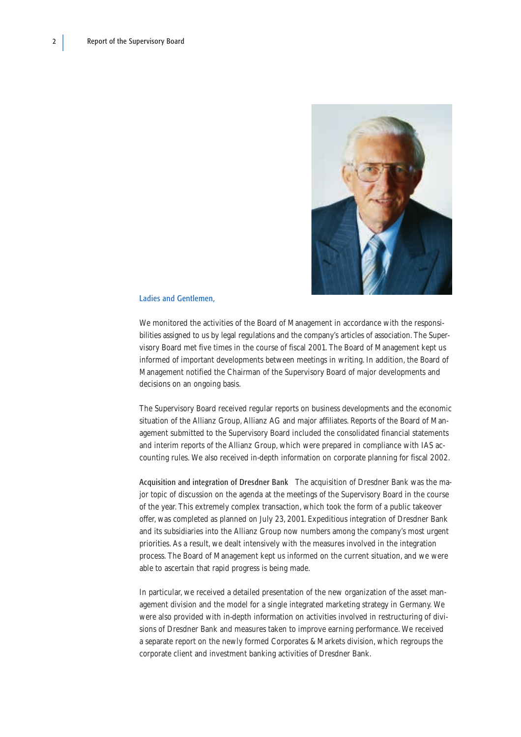<span id="page-3-0"></span>

## Ladies and Gentlemen,

We monitored the activities of the Board of Management in accordance with the responsibilities assigned to us by legal regulations and the company's articles of association. The Supervisory Board met five times in the course of fiscal 2001. The Board of Management kept us informed of important developments between meetings in writing. In addition, the Board of Management notified the Chairman of the Supervisory Board of major developments and decisions on an ongoing basis.

The Supervisory Board received regular reports on business developments and the economic situation of the Allianz Group, Allianz AG and major affiliates. Reports of the Board of Management submitted to the Supervisory Board included the consolidated financial statements and interim reports of the Allianz Group, which were prepared in compliance with IAS accounting rules. We also received in-depth information on corporate planning for fiscal 2002.

Acquisition and integration of Dresdner Bank The acquisition of Dresdner Bank was the major topic of discussion on the agenda at the meetings of the Supervisory Board in the course of the year. This extremely complex transaction, which took the form of a public takeover offer, was completed as planned on July 23, 2001. Expeditious integration of Dresdner Bank and its subsidiaries into the Allianz Group now numbers among the company's most urgent priorities. As a result, we dealt intensively with the measures involved in the integration process. The Board of Management kept us informed on the current situation, and we were able to ascertain that rapid progress is being made.

In particular, we received a detailed presentation of the new organization of the asset management division and the model for a single integrated marketing strategy in Germany. We were also provided with in-depth information on activities involved in restructuring of divisions of Dresdner Bank and measures taken to improve earning performance. We received a separate report on the newly formed Corporates & Markets division, which regroups the corporate client and investment banking activities of Dresdner Bank.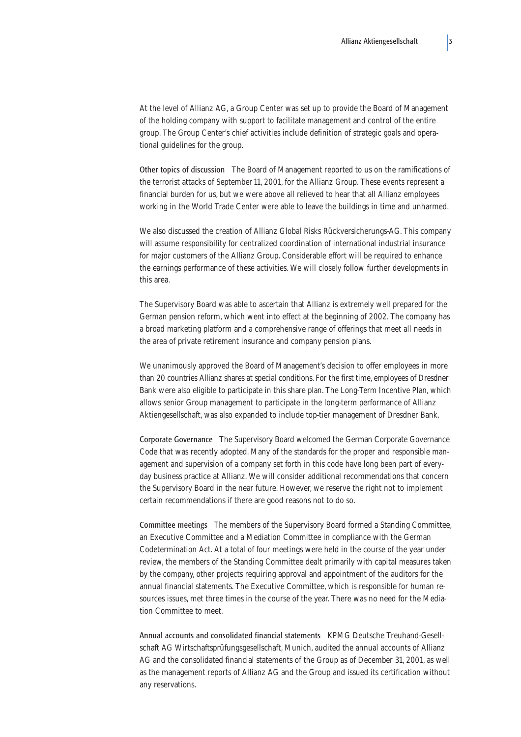At the level of Allianz AG, a Group Center was set up to provide the Board of Management of the holding company with support to facilitate management and control of the entire group. The Group Center's chief activities include definition of strategic goals and operational guidelines for the group.

Other topics of discussion The Board of Management reported to us on the ramifications of the terrorist attacks of September 11, 2001, for the Allianz Group. These events represent a financial burden for us, but we were above all relieved to hear that all Allianz employees working in the World Trade Center were able to leave the buildings in time and unharmed.

We also discussed the creation of Allianz Global Risks Rückversicherungs-AG. This company will assume responsibility for centralized coordination of international industrial insurance for major customers of the Allianz Group. Considerable effort will be required to enhance the earnings performance of these activities. We will closely follow further developments in this area.

The Supervisory Board was able to ascertain that Allianz is extremely well prepared for the German pension reform, which went into effect at the beginning of 2002. The company has a broad marketing platform and a comprehensive range of offerings that meet all needs in the area of private retirement insurance and company pension plans.

We unanimously approved the Board of Management's decision to offer employees in more than 20 countries Allianz shares at special conditions. For the first time, employees of Dresdner Bank were also eligible to participate in this share plan. The Long-Term Incentive Plan, which allows senior Group management to participate in the long-term performance of Allianz Aktiengesellschaft, was also expanded to include top-tier management of Dresdner Bank.

Corporate Governance The Supervisory Board welcomed the German Corporate Governance Code that was recently adopted. Many of the standards for the proper and responsible management and supervision of a company set forth in this code have long been part of everyday business practice at Allianz. We will consider additional recommendations that concern the Supervisory Board in the near future. However, we reserve the right not to implement certain recommendations if there are good reasons not to do so.

Committee meetings The members of the Supervisory Board formed a Standing Committee, an Executive Committee and a Mediation Committee in compliance with the German Codetermination Act. At a total of four meetings were held in the course of the year under review, the members of the Standing Committee dealt primarily with capital measures taken by the company, other projects requiring approval and appointment of the auditors for the annual financial statements. The Executive Committee, which is responsible for human resources issues, met three times in the course of the year. There was no need for the Mediation Committee to meet.

Annual accounts and consolidated financial statements KPMG Deutsche Treuhand-Gesellschaft AG Wirtschaftsprüfungsgesellschaft, Munich, audited the annual accounts of Allianz AG and the consolidated financial statements of the Group as of December 31, 2001, as well as the management reports of Allianz AG and the Group and issued its certification without any reservations.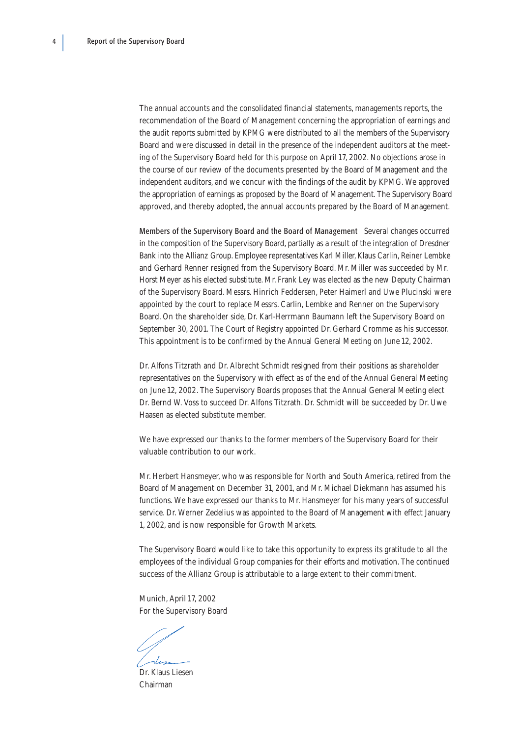The annual accounts and the consolidated financial statements, managements reports, the recommendation of the Board of Management concerning the appropriation of earnings and the audit reports submitted by KPMG were distributed to all the members of the Supervisory Board and were discussed in detail in the presence of the independent auditors at the meeting of the Supervisory Board held for this purpose on April 17, 2002. No objections arose in the course of our review of the documents presented by the Board of Management and the independent auditors, and we concur with the findings of the audit by KPMG. We approved the appropriation of earnings as proposed by the Board of Management. The Supervisory Board approved, and thereby adopted, the annual accounts prepared by the Board of Management.

Members of the Supervisory Board and the Board of Management Several changes occurred in the composition of the Supervisory Board, partially as a result of the integration of Dresdner Bank into the Allianz Group. Employee representatives Karl Miller, Klaus Carlin, Reiner Lembke and Gerhard Renner resigned from the Supervisory Board. Mr. Miller was succeeded by Mr. Horst Meyer as his elected substitute. Mr. Frank Ley was elected as the new Deputy Chairman of the Supervisory Board. Messrs. Hinrich Feddersen, Peter Haimerl and Uwe Plucinski were appointed by the court to replace Messrs. Carlin, Lembke and Renner on the Supervisory Board. On the shareholder side, Dr. Karl-Herrmann Baumann left the Supervisory Board on September 30, 2001. The Court of Registry appointed Dr. Gerhard Cromme as his successor. This appointment is to be confirmed by the Annual General Meeting on June 12, 2002.

Dr. Alfons Titzrath and Dr. Albrecht Schmidt resigned from their positions as shareholder representatives on the Supervisory with effect as of the end of the Annual General Meeting on June 12, 2002. The Supervisory Boards proposes that the Annual General Meeting elect Dr. Bernd W. Voss to succeed Dr. Alfons Titzrath. Dr. Schmidt will be succeeded by Dr. Uwe Haasen as elected substitute member.

We have expressed our thanks to the former members of the Supervisory Board for their valuable contribution to our work.

Mr. Herbert Hansmeyer, who was responsible for North and South America, retired from the Board of Management on December 31, 2001, and Mr. Michael Diekmann has assumed his functions. We have expressed our thanks to Mr. Hansmeyer for his many years of successful service. Dr. Werner Zedelius was appointed to the Board of Management with effect January 1, 2002, and is now responsible for Growth Markets.

The Supervisory Board would like to take this opportunity to express its gratitude to all the employees of the individual Group companies for their efforts and motivation. The continued success of the Allianz Group is attributable to a large extent to their commitment.

Munich, April 17, 2002 For the Supervisory Board

Dr. Klaus Liesen Chairman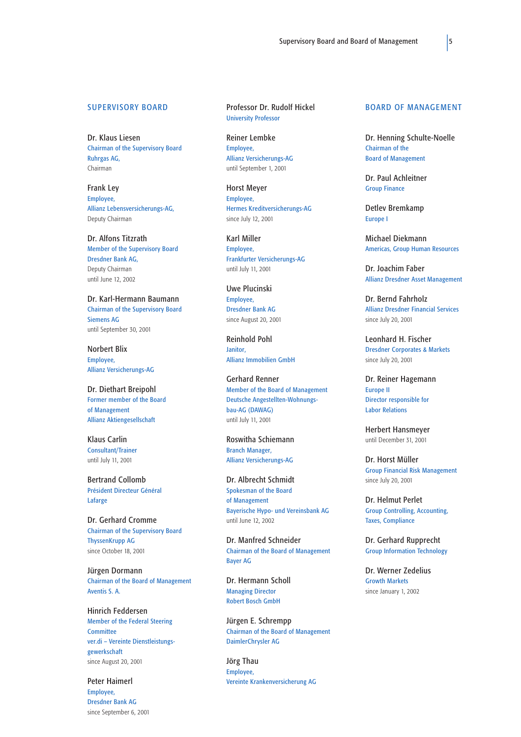#### <span id="page-6-0"></span>**SUPERVISORY BOARD**

Dr. Klaus Liesen Chairman of the Supervisory Board Ruhrgas AG, Chairman

Frank Ley Employee, Allianz Lebensversicherungs-AG, Deputy Chairman

Dr. Alfons Titzrath Member of the Supervisory Board Dresdner Bank AG, Deputy Chairman until June 12, 2002

Dr. Karl-Hermann Baumann Chairman of the Supervisory Board Siemens AG until September 30, 2001

Norbert Blix Employee, Allianz Versicherungs-AG

Dr. Diethart Breipohl Former member of the Board of Management Allianz Aktiengesellschaft

Klaus Carlin Consultant/Trainer until July 11, 2001

Bertrand Collomb Président Directeur Général Lafarge

Dr. Gerhard Cromme Chairman of the Supervisory Board ThyssenKrupp AG since October 18, 2001

Jürgen Dormann Chairman of the Board of Management Aventis S. A.

Hinrich Feddersen Member of the Federal Steering **Committee** ver.di – Vereinte Dienstleistungsgewerkschaft since August 20, 2001

Peter Haimerl Employee, Dresdner Bank AG since September 6, 2001 Professor Dr. Rudolf Hickel University Professor

Reiner Lembke Employee, Allianz Versicherungs-AG until September 1, 2001

Horst Meyer Employee, Hermes Kreditversicherungs-AG since July 12, 2001

Karl Miller Employee, Frankfurter Versicherungs-AG until July 11, 2001

Uwe Plucinski Employee, Dresdner Bank AG since August 20, 2001

Reinhold Pohl Janitor, Allianz Immobilien GmbH

Gerhard Renner Member of the Board of Management Deutsche Angestellten-Wohnungsbau-AG (DAWAG) until July 11, 2001

Roswitha Schiemann Branch Manager, Allianz Versicherungs-AG

Dr. Albrecht Schmidt Spokesman of the Board of Management Bayerische Hypo- und Vereinsbank AG until June 12, 2002

Dr. Manfred Schneider Chairman of the Board of Management Bayer AG

Dr. Hermann Scholl Managing Director Robert Bosch GmbH

Jürgen E. Schrempp Chairman of the Board of Management DaimlerChrysler AG

Jörg Thau Employee, Vereinte Krankenversicherung AG

#### BOARD OF MANAGEMENT

Dr. Henning Schulte-Noelle Chairman of the Board of Management

Dr. Paul Achleitner Group Finance

Detlev Bremkamp Europe I

Michael Diekmann Americas, Group Human Resources

Dr. Joachim Faber Allianz Dresdner Asset Management

Dr. Bernd Fahrholz Allianz Dresdner Financial Services since July 20, 2001

Leonhard H. Fischer Dresdner Corporates & Markets since July 20, 2001

Dr. Reiner Hagemann Europe II Director responsible for Labor Relations

Herbert Hansmeyer until December 31, 2001

Dr. Horst Müller Group Financial Risk Management since July 20, 2001

Dr. Helmut Perlet Group Controlling, Accounting, Taxes, Compliance

Dr. Gerhard Rupprecht Group Information Technology

Dr. Werner Zedelius Growth Markets since January 1, 2002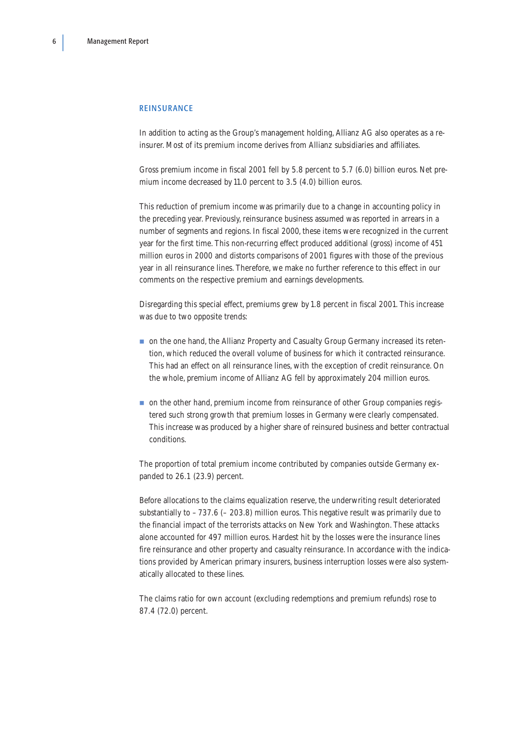#### <span id="page-7-0"></span>REINSURANCE

In addition to acting as the Group's management holding, Allianz AG also operates as a reinsurer. Most of its premium income derives from Allianz subsidiaries and affiliates.

Gross premium income in fiscal 2001 fell by 5.8 percent to 5.7 (6.0) billion euros. Net premium income decreased by 11.0 percent to 3.5 (4.0) billion euros.

This reduction of premium income was primarily due to a change in accounting policy in the preceding year. Previously, reinsurance business assumed was reported in arrears in a number of segments and regions. In fiscal 2000, these items were recognized in the current year for the first time. This non-recurring effect produced additional (gross) income of 451 million euros in 2000 and distorts comparisons of 2001 figures with those of the previous year in all reinsurance lines. Therefore, we make no further reference to this effect in our comments on the respective premium and earnings developments.

Disregarding this special effect, premiums grew by 1.8 percent in fiscal 2001. This increase was due to two opposite trends:

- on the one hand, the Allianz Property and Casualty Group Germany increased its retention, which reduced the overall volume of business for which it contracted reinsurance. This had an effect on all reinsurance lines, with the exception of credit reinsurance. On the whole, premium income of Allianz AG fell by approximately 204 million euros.
- on the other hand, premium income from reinsurance of other Group companies registered such strong growth that premium losses in Germany were clearly compensated. This increase was produced by a higher share of reinsured business and better contractual conditions.

The proportion of total premium income contributed by companies outside Germany expanded to 26.1 (23.9) percent.

Before allocations to the claims equalization reserve, the underwriting result deteriorated substantially to – 737.6 (– 203.8) million euros. This negative result was primarily due to the financial impact of the terrorists attacks on New York and Washington. These attacks alone accounted for 497 million euros. Hardest hit by the losses were the insurance lines fire reinsurance and other property and casualty reinsurance. In accordance with the indications provided by American primary insurers, business interruption losses were also systematically allocated to these lines.

The claims ratio for own account (excluding redemptions and premium refunds) rose to 87.4 (72.0) percent.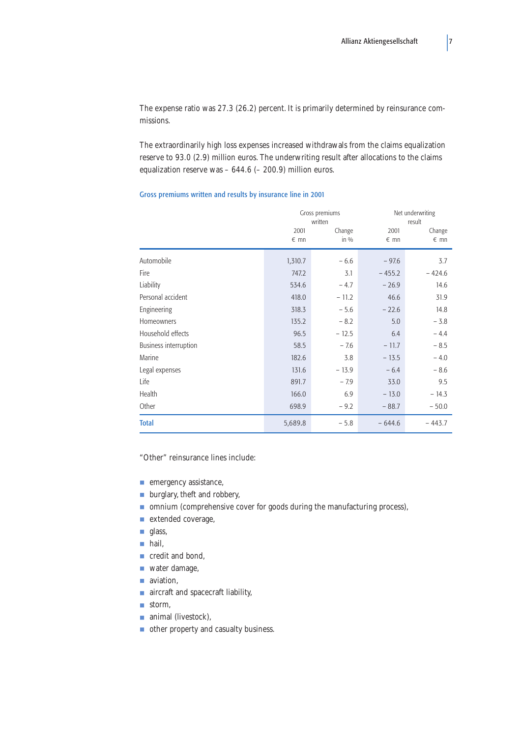<span id="page-8-0"></span>The expense ratio was 27.3 (26.2) percent. It is primarily determined by reinsurance commissions.

The extraordinarily high loss expenses increased withdrawals from the claims equalization reserve to 93.0 (2.9) million euros. The underwriting result after allocations to the claims equalization reserve was – 644.6 (– 200.9) million euros.

## Gross premiums written and results by insurance line in 2001

|                              |                       | Gross premiums<br>written |                       | Net underwriting<br>result |  |  |
|------------------------------|-----------------------|---------------------------|-----------------------|----------------------------|--|--|
|                              | 2001<br>$\epsilon$ mn | Change<br>in $\%$         | 2001<br>$\epsilon$ mn | Change<br>$\epsilon$ mn    |  |  |
|                              |                       |                           |                       |                            |  |  |
| Automobile                   | 1,310.7               | $-6.6$                    | $-97.6$               | 3.7                        |  |  |
| Fire                         | 747.2                 | 3.1                       | $-455.2$              | $-424.6$                   |  |  |
| Liability                    | 534.6                 | $-4.7$                    | $-26.9$               | 14.6                       |  |  |
| Personal accident            | 418.0                 | $-11.2$                   | 46.6                  | 31.9                       |  |  |
| Engineering                  | 318.3                 | $-5.6$                    | $-22.6$               | 14.8                       |  |  |
| Homeowners                   | 135.2                 | $-8.2$                    | 5.0                   | $-3.8$                     |  |  |
| Household effects            | 96.5                  | $-12.5$                   | 6.4                   | $-4.4$                     |  |  |
| <b>Business interruption</b> | 58.5                  | $-7.6$                    | $-11.7$               | $-8.5$                     |  |  |
| Marine                       | 182.6                 | 3.8                       | $-13.5$               | $-4.0$                     |  |  |
| Legal expenses               | 131.6                 | $-13.9$                   | $-6.4$                | $-8.6$                     |  |  |
| Life                         | 891.7                 | $-7.9$                    | 33.0                  | 9.5                        |  |  |
| Health                       | 166.0                 | 6.9                       | $-13.0$               | $-14.3$                    |  |  |
| Other                        | 698.9                 | $-9.2$                    | $-88.7$               | $-50.0$                    |  |  |
| <b>Total</b>                 | 5,689.8               | $-5.8$                    | $-644.6$              | $-443.7$                   |  |  |

"Other" reinsurance lines include:

- emergency assistance,
- burglary, theft and robbery,
- omnium (comprehensive cover for goods during the manufacturing process),
- extended coverage,
- glass,
- hail.
- credit and bond.
- water damage,
- aviation,
- aircraft and spacecraft liability,
- storm.
- animal (livestock),
- other property and casualty business.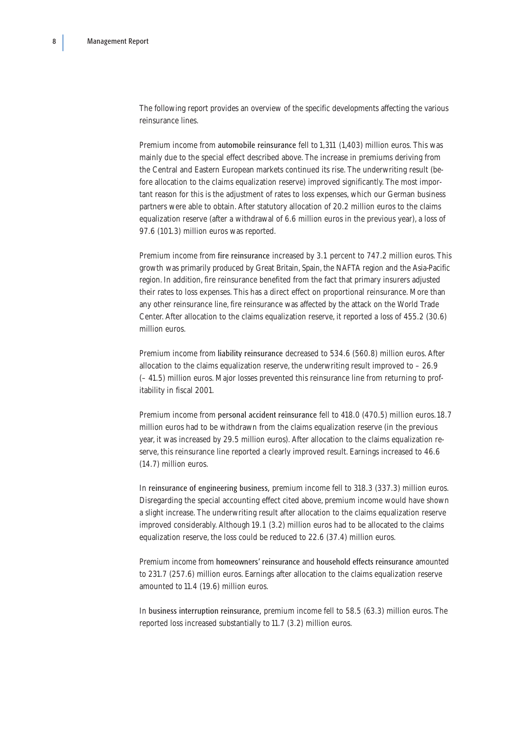The following report provides an overview of the specific developments affecting the various reinsurance lines.

Premium income from automobile reinsurance fell to 1,311 (1,403) million euros. This was mainly due to the special effect described above. The increase in premiums deriving from the Central and Eastern European markets continued its rise. The underwriting result (before allocation to the claims equalization reserve) improved significantly. The most important reason for this is the adjustment of rates to loss expenses, which our German business partners were able to obtain. After statutory allocation of 20.2 million euros to the claims equalization reserve (after a withdrawal of 6.6 million euros in the previous year), a loss of 97.6 (101.3) million euros was reported.

Premium income from fire reinsurance increased by 3.1 percent to 747.2 million euros. This growth was primarily produced by Great Britain, Spain, the NAFTA region and the Asia-Pacific region. In addition, fire reinsurance benefited from the fact that primary insurers adjusted their rates to loss expenses. This has a direct effect on proportional reinsurance. More than any other reinsurance line, fire reinsurance was affected by the attack on the World Trade Center. After allocation to the claims equalization reserve, it reported a loss of 455.2 (30.6) million euros.

Premium income from liability reinsurance decreased to 534.6 (560.8) million euros. After allocation to the claims equalization reserve, the underwriting result improved to  $-26.9$ (– 41.5) million euros. Major losses prevented this reinsurance line from returning to profitability in fiscal 2001.

Premium income from personal accident reinsurance fell to 418.0 (470.5) million euros.18.7 million euros had to be withdrawn from the claims equalization reserve (in the previous year, it was increased by 29.5 million euros). After allocation to the claims equalization reserve, this reinsurance line reported a clearly improved result. Earnings increased to 46.6 (14.7) million euros.

In reinsurance of engineering business, premium income fell to 318.3 (337.3) million euros. Disregarding the special accounting effect cited above, premium income would have shown a slight increase. The underwriting result after allocation to the claims equalization reserve improved considerably. Although 19.1 (3.2) million euros had to be allocated to the claims equalization reserve, the loss could be reduced to 22.6 (37.4) million euros.

Premium income from homeowners' reinsurance and household effects reinsurance amounted to 231.7 (257.6) million euros. Earnings after allocation to the claims equalization reserve amounted to 11.4 (19.6) million euros.

In business interruption reinsurance, premium income fell to 58.5 (63.3) million euros. The reported loss increased substantially to 11.7 (3.2) million euros.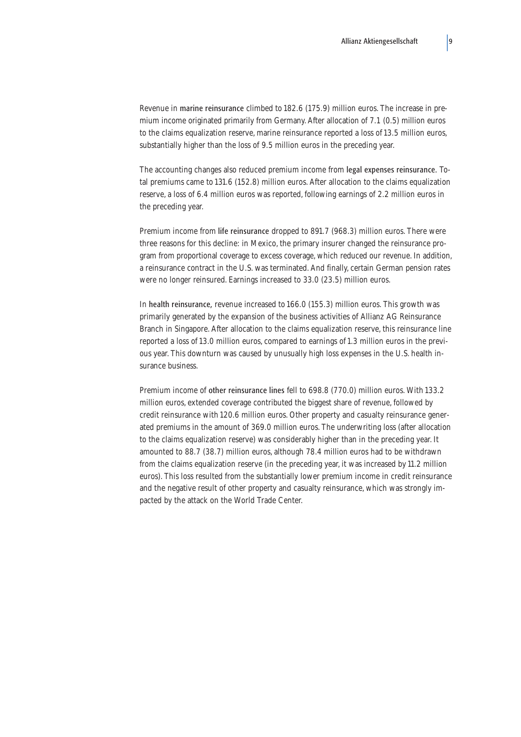Revenue in marine reinsurance climbed to 182.6 (175.9) million euros. The increase in premium income originated primarily from Germany. After allocation of 7.1 (0.5) million euros to the claims equalization reserve, marine reinsurance reported a loss of 13.5 million euros, substantially higher than the loss of 9.5 million euros in the preceding year.

The accounting changes also reduced premium income from legal expenses reinsurance. Total premiums came to 131.6 (152.8) million euros. After allocation to the claims equalization reserve, a loss of 6.4 million euros was reported, following earnings of 2.2 million euros in the preceding year.

Premium income from life reinsurance dropped to 891.7 (968.3) million euros. There were three reasons for this decline: in Mexico, the primary insurer changed the reinsurance program from proportional coverage to excess coverage, which reduced our revenue. In addition, a reinsurance contract in the U.S. was terminated. And finally, certain German pension rates were no longer reinsured. Earnings increased to 33.0 (23.5) million euros.

In health reinsurance, revenue increased to 166.0 (155.3) million euros. This growth was primarily generated by the expansion of the business activities of Allianz AG Reinsurance Branch in Singapore. After allocation to the claims equalization reserve, this reinsurance line reported a loss of 13.0 million euros, compared to earnings of 1.3 million euros in the previous year. This downturn was caused by unusually high loss expenses in the U.S. health insurance business.

Premium income of other reinsurance lines fell to 698.8 (770.0) million euros. With 133.2 million euros, extended coverage contributed the biggest share of revenue, followed by credit reinsurance with 120.6 million euros. Other property and casualty reinsurance generated premiums in the amount of 369.0 million euros. The underwriting loss (after allocation to the claims equalization reserve) was considerably higher than in the preceding year. It amounted to 88.7 (38.7) million euros, although 78.4 million euros had to be withdrawn from the claims equalization reserve (in the preceding year, it was increased by 11.2 million euros). This loss resulted from the substantially lower premium income in credit reinsurance and the negative result of other property and casualty reinsurance, which was strongly impacted by the attack on the World Trade Center.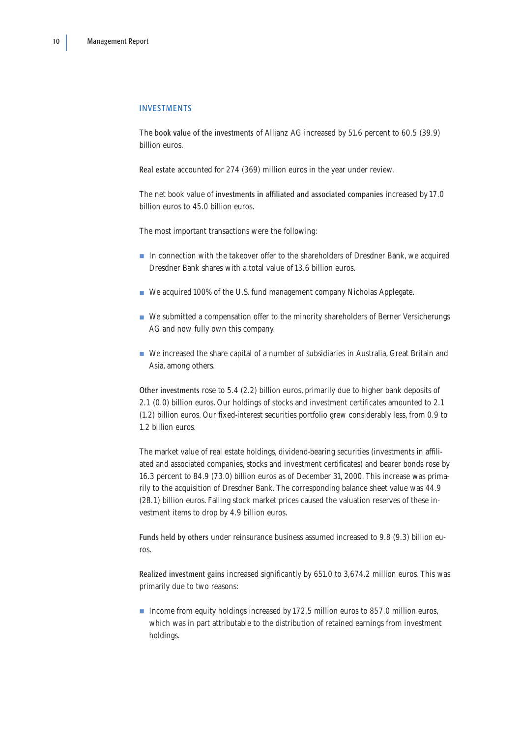### <span id="page-11-0"></span>INVESTMENTS

The book value of the investments of Allianz AG increased by 51.6 percent to 60.5 (39.9) billion euros.

Real estate accounted for 274 (369) million euros in the year under review.

The net book value of investments in affiliated and associated companies increased by 17.0 billion euros to 45.0 billion euros.

The most important transactions were the following:

- In connection with the takeover offer to the shareholders of Dresdner Bank, we acquired Dresdner Bank shares with a total value of 13.6 billion euros.
- We acquired 100% of the U.S. fund management company Nicholas Applegate.
- We submitted a compensation offer to the minority shareholders of Berner Versicherungs AG and now fully own this company.
- We increased the share capital of a number of subsidiaries in Australia, Great Britain and Asia, among others.

Other investments rose to 5.4 (2.2) billion euros, primarily due to higher bank deposits of 2.1 (0.0) billion euros. Our holdings of stocks and investment certificates amounted to 2.1 (1.2) billion euros. Our fixed-interest securities portfolio grew considerably less, from 0.9 to 1.2 billion euros.

The market value of real estate holdings, dividend-bearing securities (investments in affiliated and associated companies, stocks and investment certificates) and bearer bonds rose by 16.3 percent to 84.9 (73.0) billion euros as of December 31, 2000. This increase was primarily to the acquisition of Dresdner Bank. The corresponding balance sheet value was 44.9 (28.1) billion euros. Falling stock market prices caused the valuation reserves of these investment items to drop by 4.9 billion euros.

Funds held by others under reinsurance business assumed increased to 9.8 (9.3) billion euros.

Realized investment gains increased significantly by 651.0 to 3,674.2 million euros. This was primarily due to two reasons:

■ Income from equity holdings increased by 172.5 million euros to 857.0 million euros, which was in part attributable to the distribution of retained earnings from investment holdings.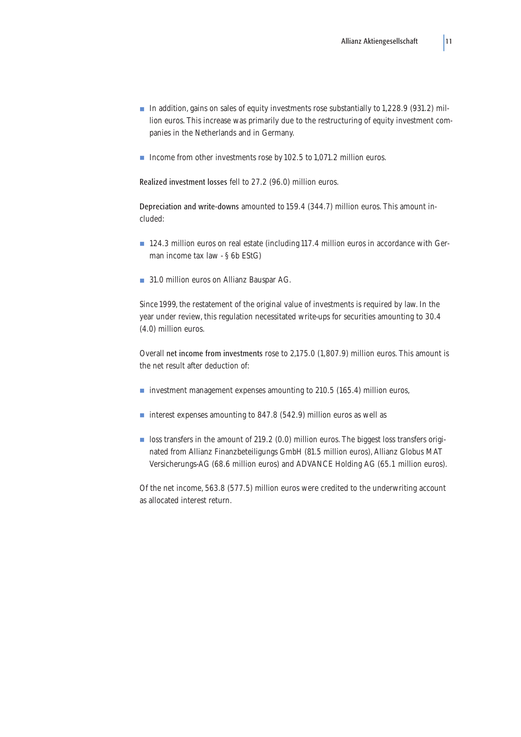- In addition, gains on sales of equity investments rose substantially to 1,228.9 (931.2) million euros. This increase was primarily due to the restructuring of equity investment companies in the Netherlands and in Germany.
- Income from other investments rose by 102.5 to 1,071.2 million euros.

Realized investment losses fell to 27.2 (96.0) million euros.

Depreciation and write-downs amounted to 159.4 (344.7) million euros. This amount included:

- 124.3 million euros on real estate (including 117.4 million euros in accordance with German income tax law - § 6b EStG)
- 31.0 million euros on Allianz Bauspar AG.

Since 1999, the restatement of the original value of investments is required by law. In the year under review, this regulation necessitated write-ups for securities amounting to 30.4 (4.0) million euros.

Overall net income from investments rose to 2,175.0 (1,807.9) million euros. This amount is the net result after deduction of:

- investment management expenses amounting to 210.5 (165.4) million euros,
- interest expenses amounting to 847.8 (542.9) million euros as well as
- loss transfers in the amount of 219.2 (0.0) million euros. The biggest loss transfers originated from Allianz Finanzbeteiligungs GmbH (81.5 million euros), Allianz Globus MAT Versicherungs-AG (68.6 million euros) and ADVANCE Holding AG (65.1 million euros).

Of the net income, 563.8 (577.5) million euros were credited to the underwriting account as allocated interest return.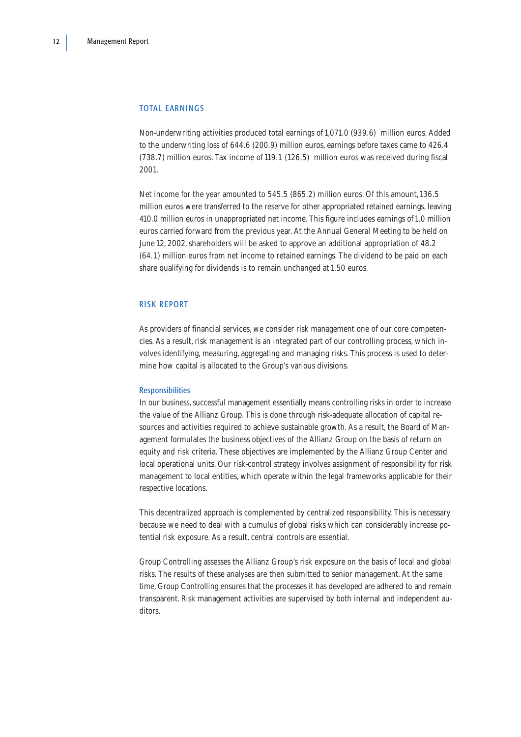### <span id="page-13-0"></span>TOTAL EARNINGS

Non-underwriting activities produced total earnings of 1,071.0 (939.6) million euros. Added to the underwriting loss of 644.6 (200.9) million euros, earnings before taxes came to 426.4 (738.7) million euros. Tax income of 119.1 (126.5) million euros was received during fiscal 2001.

Net income for the year amounted to 545.5 (865.2) million euros. Of this amount,136.5 million euros were transferred to the reserve for other appropriated retained earnings, leaving 410.0 million euros in unappropriated net income. This figure includes earnings of 1.0 million euros carried forward from the previous year. At the Annual General Meeting to be held on June 12, 2002, shareholders will be asked to approve an additional appropriation of 48.2 (64.1) million euros from net income to retained earnings. The dividend to be paid on each share qualifying for dividends is to remain unchanged at 1.50 euros.

## RISK REPORT

As providers of financial services, we consider risk management one of our core competencies. As a result, risk management is an integrated part of our controlling process, which involves identifying, measuring, aggregating and managing risks. This process is used to determine how capital is allocated to the Group's various divisions.

#### Responsibilities

In our business, successful management essentially means controlling risks in order to increase the value of the Allianz Group. This is done through risk-adequate allocation of capital resources and activities required to achieve sustainable growth. As a result, the Board of Management formulates the business objectives of the Allianz Group on the basis of return on equity and risk criteria. These objectives are implemented by the Allianz Group Center and local operational units. Our risk-control strategy involves assignment of responsibility for risk management to local entities, which operate within the legal frameworks applicable for their respective locations.

This decentralized approach is complemented by centralized responsibility. This is necessary because we need to deal with a cumulus of global risks which can considerably increase potential risk exposure. As a result, central controls are essential.

Group Controlling assesses the Allianz Group's risk exposure on the basis of local and global risks. The results of these analyses are then submitted to senior management. At the same time, Group Controlling ensures that the processes it has developed are adhered to and remain transparent. Risk management activities are supervised by both internal and independent auditors.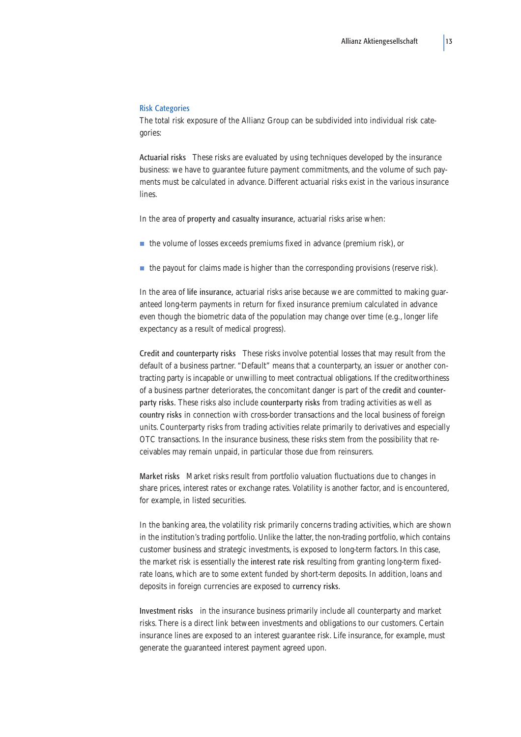#### Risk Categories

The total risk exposure of the Allianz Group can be subdivided into individual risk categories:

Actuarial risks These risks are evaluated by using techniques developed by the insurance business: we have to guarantee future payment commitments, and the volume of such payments must be calculated in advance. Different actuarial risks exist in the various insurance lines.

In the area of **property and casualty insurance**, actuarial risks arise when:

- the volume of losses exceeds premiums fixed in advance (premium risk), or
- the payout for claims made is higher than the corresponding provisions (reserve risk).

In the area of life insurance, actuarial risks arise because we are committed to making guaranteed long-term payments in return for fixed insurance premium calculated in advance even though the biometric data of the population may change over time (e.g., longer life expectancy as a result of medical progress).

Credit and counterparty risks These risks involve potential losses that may result from the default of a business partner. "Default" means that a counterparty, an issuer or another contracting party is incapable or unwilling to meet contractual obligations. If the creditworthiness of a business partner deteriorates, the concomitant danger is part of the credit and counterparty risks. These risks also include counterparty risks from trading activities as well as country risks in connection with cross-border transactions and the local business of foreign units. Counterparty risks from trading activities relate primarily to derivatives and especially OTC transactions. In the insurance business, these risks stem from the possibility that receivables may remain unpaid, in particular those due from reinsurers.

Market risks Market risks result from portfolio valuation fluctuations due to changes in share prices, interest rates or exchange rates. Volatility is another factor, and is encountered, for example, in listed securities.

In the banking area, the volatility risk primarily concerns trading activities, which are shown in the institution's trading portfolio. Unlike the latter, the non-trading portfolio, which contains customer business and strategic investments, is exposed to long-term factors. In this case, the market risk is essentially the interest rate risk resulting from granting long-term fixedrate loans, which are to some extent funded by short-term deposits. In addition, loans and deposits in foreign currencies are exposed to currency risks.

Investment risks in the insurance business primarily include all counterparty and market risks. There is a direct link between investments and obligations to our customers. Certain insurance lines are exposed to an interest guarantee risk. Life insurance, for example, must generate the guaranteed interest payment agreed upon.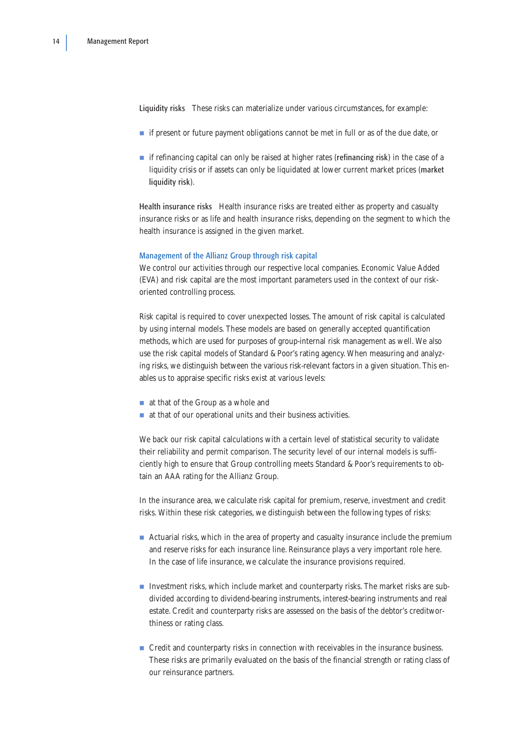Liquidity risks These risks can materialize under various circumstances, for example:

- if present or future payment obligations cannot be met in full or as of the due date, or
- if refinancing capital can only be raised at higher rates (**refinancing risk**) in the case of a liquidity crisis or if assets can only be liquidated at lower current market prices (market liquidity risk).

Health insurance risks Health insurance risks are treated either as property and casualty insurance risks or as life and health insurance risks, depending on the segment to which the health insurance is assigned in the given market.

## Management of the Allianz Group through risk capital

We control our activities through our respective local companies. Economic Value Added (EVA) and risk capital are the most important parameters used in the context of our riskoriented controlling process.

Risk capital is required to cover unexpected losses. The amount of risk capital is calculated by using internal models. These models are based on generally accepted quantification methods, which are used for purposes of group-internal risk management as well. We also use the risk capital models of Standard & Poor's rating agency. When measuring and analyzing risks, we distinguish between the various risk-relevant factors in a given situation. This enables us to appraise specific risks exist at various levels:

- at that of the Group as a whole and
- at that of our operational units and their business activities.

We back our risk capital calculations with a certain level of statistical security to validate their reliability and permit comparison. The security level of our internal models is sufficiently high to ensure that Group controlling meets Standard & Poor's requirements to obtain an AAA rating for the Allianz Group.

In the insurance area, we calculate risk capital for premium, reserve, investment and credit risks. Within these risk categories, we distinguish between the following types of risks:

- Actuarial risks, which in the area of property and casualty insurance include the premium and reserve risks for each insurance line. Reinsurance plays a very important role here. In the case of life insurance, we calculate the insurance provisions required.
- Investment risks, which include market and counterparty risks. The market risks are subdivided according to dividend-bearing instruments, interest-bearing instruments and real estate. Credit and counterparty risks are assessed on the basis of the debtor's creditworthiness or rating class.
- Credit and counterparty risks in connection with receivables in the insurance business. These risks are primarily evaluated on the basis of the financial strength or rating class of our reinsurance partners.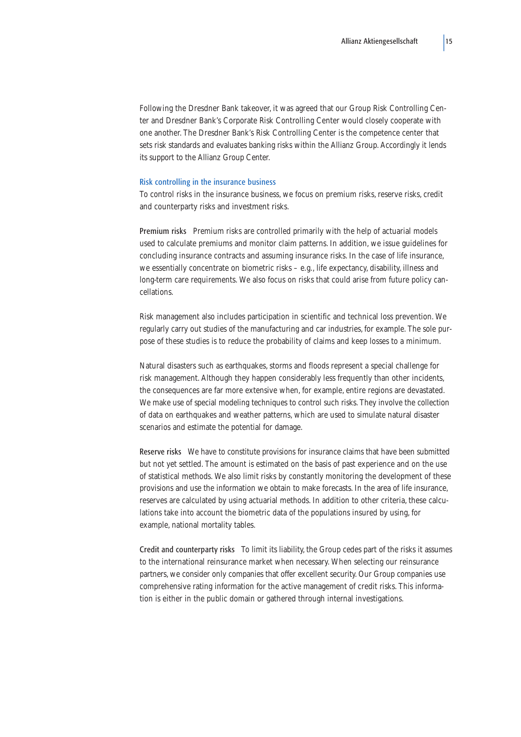Following the Dresdner Bank takeover, it was agreed that our Group Risk Controlling Center and Dresdner Bank's Corporate Risk Controlling Center would closely cooperate with one another. The Dresdner Bank's Risk Controlling Center is the competence center that sets risk standards and evaluates banking risks within the Allianz Group. Accordingly it lends its support to the Allianz Group Center.

#### Risk controlling in the insurance business

To control risks in the insurance business, we focus on premium risks, reserve risks, credit and counterparty risks and investment risks.

Premium risks Premium risks are controlled primarily with the help of actuarial models used to calculate premiums and monitor claim patterns. In addition, we issue guidelines for concluding insurance contracts and assuming insurance risks. In the case of life insurance, we essentially concentrate on biometric risks – e.g., life expectancy, disability, illness and long-term care requirements. We also focus on risks that could arise from future policy cancellations.

Risk management also includes participation in scientific and technical loss prevention. We regularly carry out studies of the manufacturing and car industries, for example. The sole purpose of these studies is to reduce the probability of claims and keep losses to a minimum.

Natural disasters such as earthquakes, storms and floods represent a special challenge for risk management. Although they happen considerably less frequently than other incidents, the consequences are far more extensive when, for example, entire regions are devastated. We make use of special modeling techniques to control such risks. They involve the collection of data on earthquakes and weather patterns, which are used to simulate natural disaster scenarios and estimate the potential for damage.

Reserve risks We have to constitute provisions for insurance claims that have been submitted but not yet settled. The amount is estimated on the basis of past experience and on the use of statistical methods. We also limit risks by constantly monitoring the development of these provisions and use the information we obtain to make forecasts. In the area of life insurance, reserves are calculated by using actuarial methods. In addition to other criteria, these calculations take into account the biometric data of the populations insured by using, for example, national mortality tables.

Credit and counterparty risks To limit its liability, the Group cedes part of the risks it assumes to the international reinsurance market when necessary. When selecting our reinsurance partners, we consider only companies that offer excellent security. Our Group companies use comprehensive rating information for the active management of credit risks. This information is either in the public domain or gathered through internal investigations.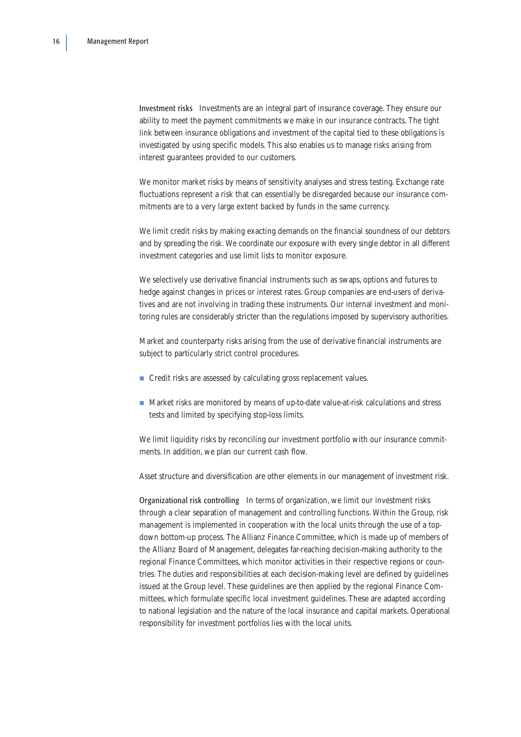Investment risks Investments are an integral part of insurance coverage. They ensure our ability to meet the payment commitments we make in our insurance contracts. The tight link between insurance obligations and investment of the capital tied to these obligations is investigated by using specific models. This also enables us to manage risks arising from interest guarantees provided to our customers.

We monitor market risks by means of sensitivity analyses and stress testing. Exchange rate fluctuations represent a risk that can essentially be disregarded because our insurance commitments are to a very large extent backed by funds in the same currency.

We limit credit risks by making exacting demands on the financial soundness of our debtors and by spreading the risk. We coordinate our exposure with every single debtor in all different investment categories and use limit lists to monitor exposure.

We selectively use derivative financial instruments such as swaps, options and futures to hedge against changes in prices or interest rates. Group companies are end-users of derivatives and are not involving in trading these instruments. Our internal investment and monitoring rules are considerably stricter than the regulations imposed by supervisory authorities.

Market and counterparty risks arising from the use of derivative financial instruments are subject to particularly strict control procedures.

- Credit risks are assessed by calculating gross replacement values.
- Market risks are monitored by means of up-to-date value-at-risk calculations and stress tests and limited by specifying stop-loss limits.

We limit liquidity risks by reconciling our investment portfolio with our insurance commitments. In addition, we plan our current cash flow.

Asset structure and diversification are other elements in our management of investment risk.

Organizational risk controlling In terms of organization, we limit our investment risks through a clear separation of management and controlling functions. Within the Group, risk management is implemented in cooperation with the local units through the use of a topdown bottom-up process. The Allianz Finance Committee, which is made up of members of the Allianz Board of Management, delegates far-reaching decision-making authority to the regional Finance Committees, which monitor activities in their respective regions or countries. The duties and responsibilities at each decision-making level are defined by guidelines issued at the Group level. These guidelines are then applied by the regional Finance Committees, which formulate specific local investment guidelines. These are adapted according to national legislation and the nature of the local insurance and capital markets. Operational responsibility for investment portfolios lies with the local units.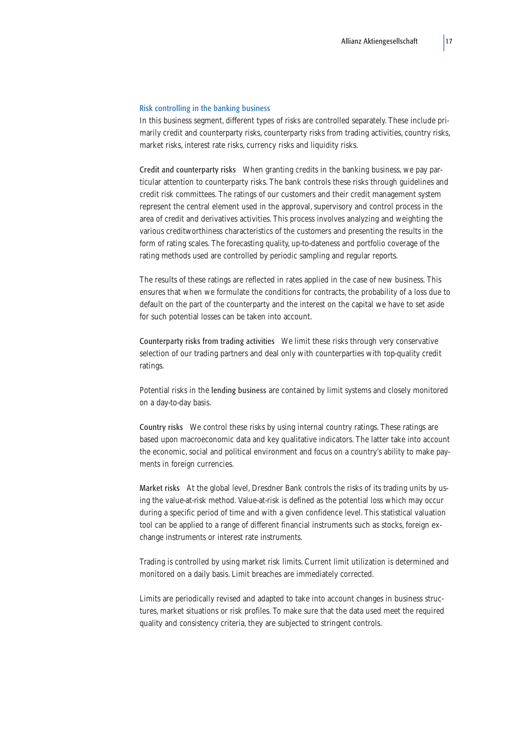#### Risk controlling in the banking business

In this business segment, different types of risks are controlled separately. These include primarily credit and counterparty risks, counterparty risks from trading activities, country risks, market risks, interest rate risks, currency risks and liquidity risks.

Credit and counterparty risks When granting credits in the banking business, we pay particular attention to counterparty risks. The bank controls these risks through guidelines and credit risk committees. The ratings of our customers and their credit management system represent the central element used in the approval, supervisory and control process in the area of credit and derivatives activities. This process involves analyzing and weighting the various creditworthiness characteristics of the customers and presenting the results in the form of rating scales. The forecasting quality, up-to-dateness and portfolio coverage of the rating methods used are controlled by periodic sampling and regular reports.

The results of these ratings are reflected in rates applied in the case of new business. This ensures that when we formulate the conditions for contracts, the probability of a loss due to default on the part of the counterparty and the interest on the capital we have to set aside for such potential losses can be taken into account.

Counterparty risks from trading activities We limit these risks through very conservative selection of our trading partners and deal only with counterparties with top-quality credit ratings.

Potential risks in the lending business are contained by limit systems and closely monitored on a day-to-day basis.

Country risks We control these risks by using internal country ratings. These ratings are based upon macroeconomic data and key qualitative indicators. The latter take into account the economic, social and political environment and focus on a country's ability to make payments in foreign currencies.

Market risks At the global level, Dresdner Bank controls the risks of its trading units by using the value-at-risk method. Value-at-risk is defined as the potential loss which may occur during a specific period of time and with a given confidence level. This statistical valuation tool can be applied to a range of different financial instruments such as stocks, foreign exchange instruments or interest rate instruments.

Trading is controlled by using market risk limits. Current limit utilization is determined and monitored on a daily basis. Limit breaches are immediately corrected.

Limits are periodically revised and adapted to take into account changes in business structures, market situations or risk profiles. To make sure that the data used meet the required quality and consistency criteria, they are subjected to stringent controls.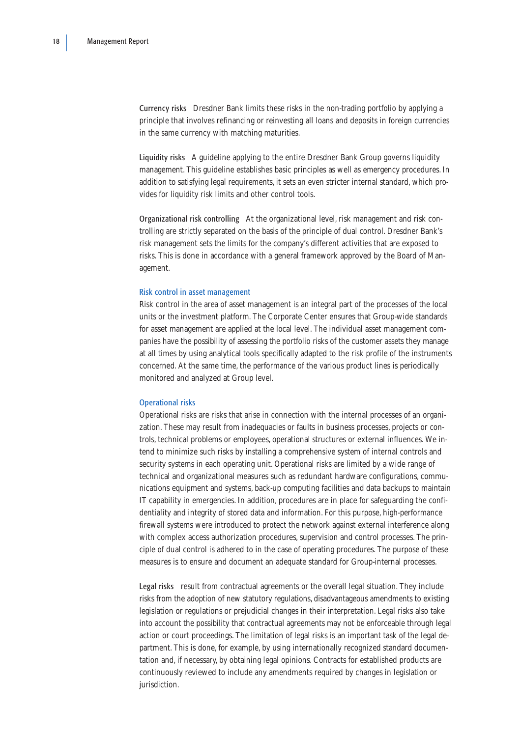Currency risks Dresdner Bank limits these risks in the non-trading portfolio by applying a principle that involves refinancing or reinvesting all loans and deposits in foreign currencies in the same currency with matching maturities.

Liquidity risks A guideline applying to the entire Dresdner Bank Group governs liquidity management. This guideline establishes basic principles as well as emergency procedures. In addition to satisfying legal requirements, it sets an even stricter internal standard, which provides for liquidity risk limits and other control tools.

Organizational risk controlling At the organizational level, risk management and risk controlling are strictly separated on the basis of the principle of dual control. Dresdner Bank's risk management sets the limits for the company's different activities that are exposed to risks. This is done in accordance with a general framework approved by the Board of Management.

## Risk control in asset management

Risk control in the area of asset management is an integral part of the processes of the local units or the investment platform. The Corporate Center ensures that Group-wide standards for asset management are applied at the local level. The individual asset management companies have the possibility of assessing the portfolio risks of the customer assets they manage at all times by using analytical tools specifically adapted to the risk profile of the instruments concerned. At the same time, the performance of the various product lines is periodically monitored and analyzed at Group level.

#### Operational risks

Operational risks are risks that arise in connection with the internal processes of an organization. These may result from inadequacies or faults in business processes, projects or controls, technical problems or employees, operational structures or external influences. We intend to minimize such risks by installing a comprehensive system of internal controls and security systems in each operating unit. Operational risks are limited by a wide range of technical and organizational measures such as redundant hardware configurations, communications equipment and systems, back-up computing facilities and data backups to maintain IT capability in emergencies. In addition, procedures are in place for safeguarding the confidentiality and integrity of stored data and information. For this purpose, high-performance firewall systems were introduced to protect the network against external interference along with complex access authorization procedures, supervision and control processes. The principle of dual control is adhered to in the case of operating procedures. The purpose of these measures is to ensure and document an adequate standard for Group-internal processes.

Legal risks result from contractual agreements or the overall legal situation. They include risks from the adoption of new statutory regulations, disadvantageous amendments to existing legislation or regulations or prejudicial changes in their interpretation. Legal risks also take into account the possibility that contractual agreements may not be enforceable through legal action or court proceedings. The limitation of legal risks is an important task of the legal department. This is done, for example, by using internationally recognized standard documentation and, if necessary, by obtaining legal opinions. Contracts for established products are continuously reviewed to include any amendments required by changes in legislation or jurisdiction.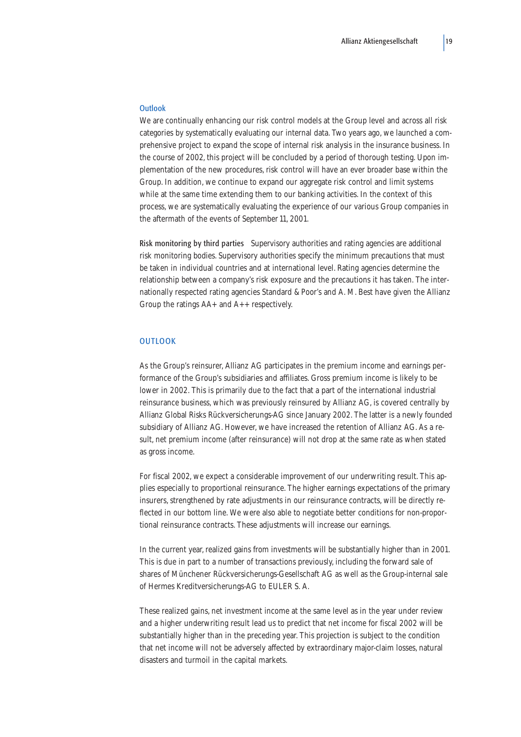### **Outlook**

We are continually enhancing our risk control models at the Group level and across all risk categories by systematically evaluating our internal data. Two years ago, we launched a comprehensive project to expand the scope of internal risk analysis in the insurance business. In the course of 2002, this project will be concluded by a period of thorough testing. Upon implementation of the new procedures, risk control will have an ever broader base within the Group. In addition, we continue to expand our aggregate risk control and limit systems while at the same time extending them to our banking activities. In the context of this process, we are systematically evaluating the experience of our various Group companies in the aftermath of the events of September 11, 2001.

Risk monitoring by third parties Supervisory authorities and rating agencies are additional risk monitoring bodies. Supervisory authorities specify the minimum precautions that must be taken in individual countries and at international level. Rating agencies determine the relationship between a company's risk exposure and the precautions it has taken. The internationally respected rating agencies Standard & Poor's and A. M. Best have given the Allianz Group the ratings AA+ and A++ respectively.

## **OUTLOOK**

As the Group's reinsurer, Allianz AG participates in the premium income and earnings performance of the Group's subsidiaries and affiliates. Gross premium income is likely to be lower in 2002. This is primarily due to the fact that a part of the international industrial reinsurance business, which was previously reinsured by Allianz AG, is covered centrally by Allianz Global Risks Rückversicherungs-AG since January 2002. The latter is a newly founded subsidiary of Allianz AG. However, we have increased the retention of Allianz AG. As a result, net premium income (after reinsurance) will not drop at the same rate as when stated as gross income.

For fiscal 2002, we expect a considerable improvement of our underwriting result. This applies especially to proportional reinsurance. The higher earnings expectations of the primary insurers, strengthened by rate adjustments in our reinsurance contracts, will be directly reflected in our bottom line. We were also able to negotiate better conditions for non-proportional reinsurance contracts. These adjustments will increase our earnings.

In the current year, realized gains from investments will be substantially higher than in 2001. This is due in part to a number of transactions previously, including the forward sale of shares of Münchener Rückversicherungs-Gesellschaft AG as well as the Group-internal sale of Hermes Kreditversicherungs-AG to EULER S. A.

These realized gains, net investment income at the same level as in the year under review and a higher underwriting result lead us to predict that net income for fiscal 2002 will be substantially higher than in the preceding year. This projection is subject to the condition that net income will not be adversely affected by extraordinary major-claim losses, natural disasters and turmoil in the capital markets.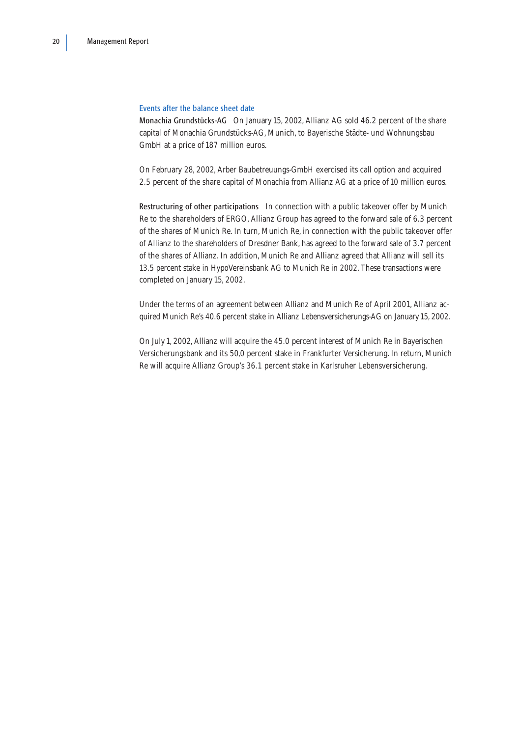### Events after the balance sheet date

Monachia Grundstücks-AG On January 15, 2002, Allianz AG sold 46.2 percent of the share capital of Monachia Grundstücks-AG, Munich, to Bayerische Städte- und Wohnungsbau GmbH at a price of 187 million euros.

On February 28, 2002, Arber Baubetreuungs-GmbH exercised its call option and acquired 2.5 percent of the share capital of Monachia from Allianz AG at a price of 10 million euros.

Restructuring of other participations In connection with a public takeover offer by Munich Re to the shareholders of ERGO, Allianz Group has agreed to the forward sale of 6.3 percent of the shares of Munich Re. In turn, Munich Re, in connection with the public takeover offer of Allianz to the shareholders of Dresdner Bank, has agreed to the forward sale of 3.7 percent of the shares of Allianz. In addition, Munich Re and Allianz agreed that Allianz will sell its 13.5 percent stake in HypoVereinsbank AG to Munich Re in 2002. These transactions were completed on January 15, 2002.

Under the terms of an agreement between Allianz and Munich Re of April 2001, Allianz acquired Munich Re's 40.6 percent stake in Allianz Lebensversicherungs-AG on January 15, 2002.

On July 1, 2002, Allianz will acquire the 45.0 percent interest of Munich Re in Bayerischen Versicherungsbank and its 50,0 percent stake in Frankfurter Versicherung. In return, Munich Re will acquire Allianz Group's 36.1 percent stake in Karlsruher Lebensversicherung.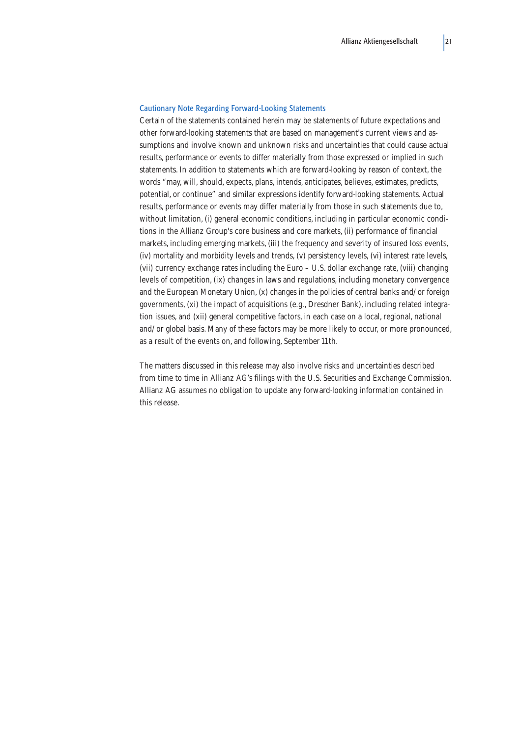#### Cautionary Note Regarding Forward-Looking Statements

Certain of the statements contained herein may be statements of future expectations and other forward-looking statements that are based on management's current views and assumptions and involve known and unknown risks and uncertainties that could cause actual results, performance or events to differ materially from those expressed or implied in such statements. In addition to statements which are forward-looking by reason of context, the words "may, will, should, expects, plans, intends, anticipates, believes, estimates, predicts, potential, or continue" and similar expressions identify forward-looking statements. Actual results, performance or events may differ materially from those in such statements due to, without limitation, (i) general economic conditions, including in particular economic conditions in the Allianz Group's core business and core markets, (ii) performance of financial markets, including emerging markets, (iii) the frequency and severity of insured loss events, (iv) mortality and morbidity levels and trends, (v) persistency levels, (vi) interest rate levels, (vii) currency exchange rates including the Euro – U.S. dollar exchange rate, (viii) changing levels of competition, (ix) changes in laws and regulations, including monetary convergence and the European Monetary Union, (x) changes in the policies of central banks and/or foreign governments, (xi) the impact of acquisitions (e.g., Dresdner Bank), including related integration issues, and (xii) general competitive factors, in each case on a local, regional, national and/or global basis. Many of these factors may be more likely to occur, or more pronounced, as a result of the events on, and following, September 11th.

The matters discussed in this release may also involve risks and uncertainties described from time to time in Allianz AG's filings with the U.S. Securities and Exchange Commission. Allianz AG assumes no obligation to update any forward-looking information contained in this release.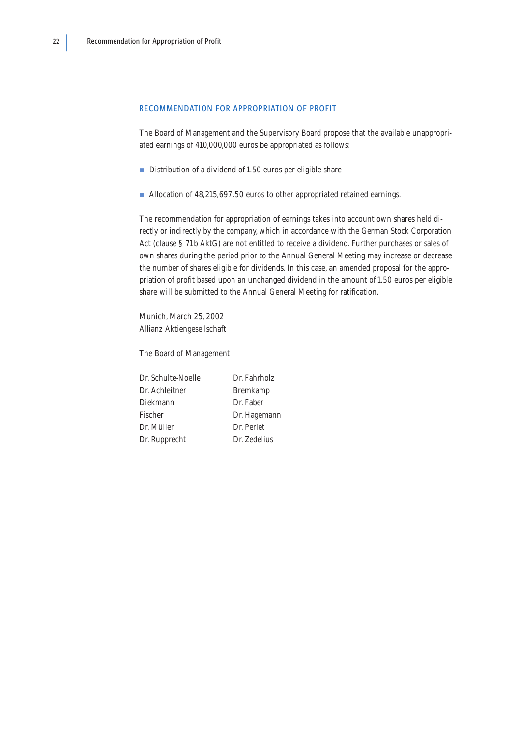### <span id="page-23-0"></span>RECOMMENDATION FOR APPROPRIATION OF PROFIT

The Board of Management and the Supervisory Board propose that the available unappropriated earnings of 410,000,000 euros be appropriated as follows:

- Distribution of a dividend of 1.50 euros per eligible share
- Allocation of 48,215,697.50 euros to other appropriated retained earnings.

The recommendation for appropriation of earnings takes into account own shares held directly or indirectly by the company, which in accordance with the German Stock Corporation Act (clause § 71b AktG) are not entitled to receive a dividend. Further purchases or sales of own shares during the period prior to the Annual General Meeting may increase or decrease the number of shares eligible for dividends. In this case, an amended proposal for the appropriation of profit based upon an unchanged dividend in the amount of 1.50 euros per eligible share will be submitted to the Annual General Meeting for ratification.

Munich, March 25, 2002 Allianz Aktiengesellschaft

The Board of Management

Dr. Schulte-Noelle Dr. Fahrholz Dr. Achleitner Bremkamp Diekmann Dr. Faber Fischer Dr. Hagemann Dr. Müller Dr. Perlet Dr. Rupprecht Dr. Zedelius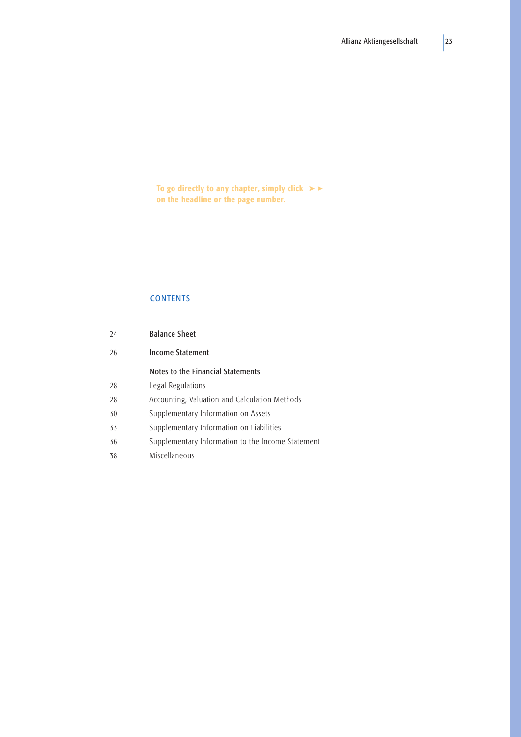<span id="page-24-0"></span>To go directly to any chapter, simply click  $\blacktriangleright\blacktriangleright$ on the headline or the page number.

# **CONTENTS**

| 24 | <b>Balance Sheet</b>                              |
|----|---------------------------------------------------|
| 26 | Income Statement                                  |
|    | Notes to the Financial Statements                 |
| 28 | Legal Regulations                                 |
| 28 | Accounting, Valuation and Calculation Methods     |
| 30 | Supplementary Information on Assets               |
| 33 | Supplementary Information on Liabilities          |
| 36 | Supplementary Information to the Income Statement |
| 38 | Miscellaneous                                     |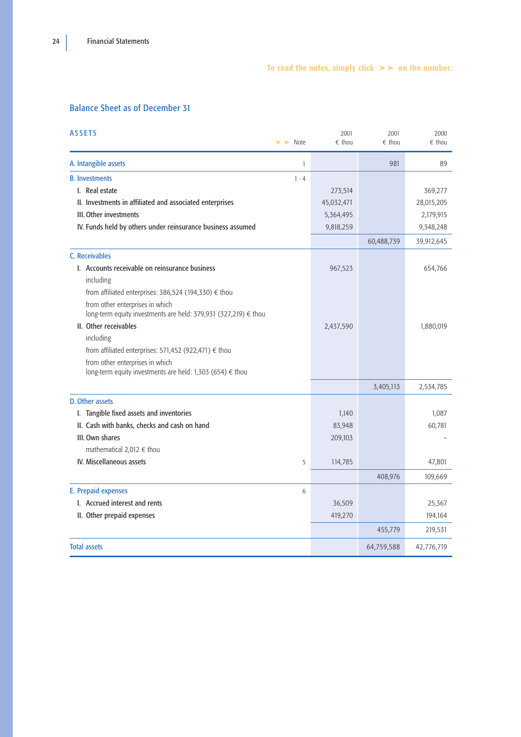# To read the notes, simply click  $\triangleright$   $\triangleright$  on the number.

# <span id="page-25-0"></span>Balance Sheet as of December 31

| <b>ASSETS</b>                                                                                | $\blacktriangleright$ Note | 2001<br>$\epsilon$ thou | 2001<br>$\epsilon$ thou | 2000<br>$\epsilon$ thou |
|----------------------------------------------------------------------------------------------|----------------------------|-------------------------|-------------------------|-------------------------|
| A. Intangible assets                                                                         | $\mathbf{1}$               |                         | 981                     | 89                      |
| <b>B.</b> Investments                                                                        | $1 - 4$                    |                         |                         |                         |
| I. Real estate                                                                               |                            | 273,514                 |                         | 369,277                 |
| II. Investments in affiliated and associated enterprises                                     |                            | 45,032,471              |                         | 28,015,205              |
| III. Other investments                                                                       |                            | 5,364,495               |                         | 2,179,915               |
| IV. Funds held by others under reinsurance business assumed                                  |                            | 9,818,259               |                         | 9,348,248               |
|                                                                                              |                            |                         | 60,488,739              | 39,912,645              |
| C. Receivables                                                                               |                            |                         |                         |                         |
| L. Accounts receivable on reinsurance business                                               |                            | 967,523                 |                         | 654,766                 |
| including                                                                                    |                            |                         |                         |                         |
| from affiliated enterprises: 386,524 (194,330) $\epsilon$ thou                               |                            |                         |                         |                         |
| from other enterprises in which                                                              |                            |                         |                         |                         |
| long-term equity investments are held: 379,931 (327,219) € thou                              |                            |                         |                         |                         |
| II. Other receivables                                                                        |                            | 2,437,590               |                         | 1,880,019               |
| including                                                                                    |                            |                         |                         |                         |
| from affiliated enterprises: 571,452 (922,471) $\in$ thou                                    |                            |                         |                         |                         |
| from other enterprises in which<br>long-term equity investments are held: 1,303 (654) € thou |                            |                         |                         |                         |
|                                                                                              |                            |                         | 3,405,113               | 2,534,785               |
| D. Other assets                                                                              |                            |                         |                         |                         |
| I. Tangible fixed assets and inventories                                                     |                            | 1,140                   |                         | 1,087                   |
| II. Cash with banks, checks and cash on hand                                                 |                            | 83,948                  |                         | 60,781                  |
| III. Own shares                                                                              |                            | 209,103                 |                         |                         |
| mathematical 2,012 € thou                                                                    |                            |                         |                         |                         |
| IV. Miscellaneous assets                                                                     | 5                          | 114,785                 |                         | 47,801                  |
|                                                                                              |                            |                         | 408,976                 | 109,669                 |
| E. Prepaid expenses                                                                          | 6                          |                         |                         |                         |
| I. Accrued interest and rents                                                                |                            | 36,509                  |                         | 25,367                  |
| II. Other prepaid expenses                                                                   |                            | 419,270                 |                         | 194,164                 |
|                                                                                              |                            |                         | 455,779                 | 219,531                 |
| <b>Total assets</b>                                                                          |                            |                         | 64,759,588              | 42,776,719              |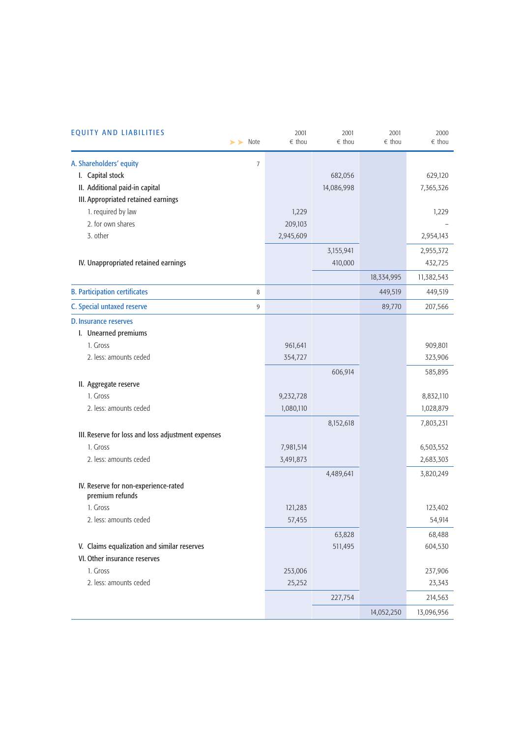| <b>EQUITY AND LIABILITIES</b><br>$\blacktriangleright$ Note | 2001<br>$\epsilon$ thou | 2001<br>$\epsilon$ thou | 2001<br>$\epsilon$ thou | 2000<br>$\epsilon$ thou |
|-------------------------------------------------------------|-------------------------|-------------------------|-------------------------|-------------------------|
| A. Shareholders' equity<br>$\overline{7}$                   |                         |                         |                         |                         |
| I. Capital stock                                            |                         | 682,056                 |                         | 629,120                 |
| II. Additional paid-in capital                              |                         | 14,086,998              |                         | 7,365,326               |
| III. Appropriated retained earnings                         |                         |                         |                         |                         |
| 1. required by law                                          | 1,229                   |                         |                         | 1,229                   |
| 2. for own shares                                           | 209,103                 |                         |                         |                         |
| 3. other                                                    | 2,945,609               |                         |                         | 2,954,143               |
|                                                             |                         | 3,155,941               |                         | 2,955,372               |
| IV. Unappropriated retained earnings                        |                         | 410,000                 |                         | 432,725                 |
|                                                             |                         |                         | 18,334,995              | 11,382,543              |
| <b>B. Participation certificates</b><br>8                   |                         |                         | 449,519                 | 449,519                 |
| C. Special untaxed reserve<br>9                             |                         |                         | 89,770                  | 207,566                 |
| D. Insurance reserves                                       |                         |                         |                         |                         |
| I. Unearned premiums                                        |                         |                         |                         |                         |
| 1. Gross                                                    | 961,641                 |                         |                         | 909,801                 |
| 2. less: amounts ceded                                      | 354,727                 |                         |                         | 323,906                 |
|                                                             |                         | 606,914                 |                         | 585,895                 |
| II. Aggregate reserve                                       |                         |                         |                         |                         |
| 1. Gross                                                    | 9,232,728               |                         |                         | 8,832,110               |
| 2. less: amounts ceded                                      | 1,080,110               |                         |                         | 1,028,879               |
|                                                             |                         | 8,152,618               |                         | 7,803,231               |
| III. Reserve for loss and loss adjustment expenses          |                         |                         |                         |                         |
| 1. Gross                                                    | 7,981,514               |                         |                         | 6,503,552               |
| 2. less: amounts ceded                                      | 3,491,873               |                         |                         | 2,683,303               |
|                                                             |                         | 4,489,641               |                         | 3,820,249               |
| IV. Reserve for non-experience-rated                        |                         |                         |                         |                         |
| premium refunds                                             |                         |                         |                         |                         |
| 1. Gross                                                    | 121,283                 |                         |                         | 123,402                 |
| 2. less: amounts ceded                                      | 57,455                  |                         |                         | 54,914                  |
|                                                             |                         | 63,828                  |                         | 68,488                  |
| V. Claims equalization and similar reserves                 |                         | 511,495                 |                         | 604,530                 |
| VI. Other insurance reserves                                |                         |                         |                         |                         |
| 1. Gross                                                    | 253,006                 |                         |                         | 237,906                 |
| 2. less: amounts ceded                                      | 25,252                  |                         |                         | 23,343                  |
|                                                             |                         | 227,754                 |                         | 214,563                 |
|                                                             |                         |                         | 14,052,250              | 13,096,956              |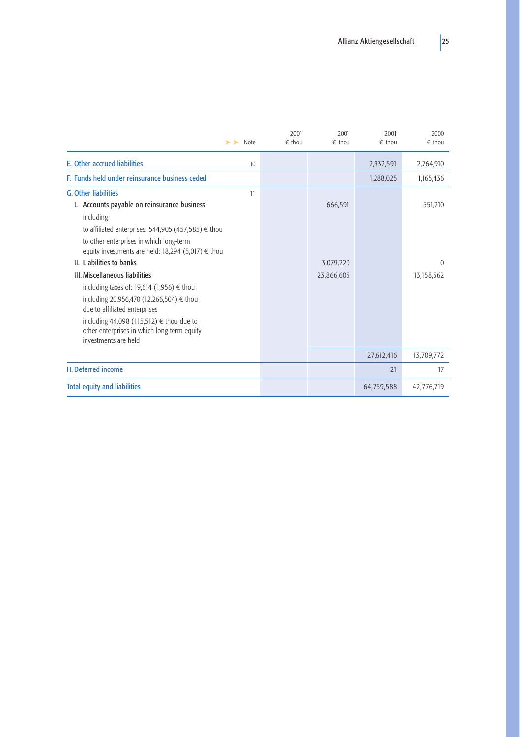| $\triangleright$ Note                                                                                                                                                                                                                                                                                | 2001<br>$\epsilon$ thou | 2001<br>$\epsilon$ thou | 2001<br>$\epsilon$ thou | 2000<br>$\epsilon$ thou |
|------------------------------------------------------------------------------------------------------------------------------------------------------------------------------------------------------------------------------------------------------------------------------------------------------|-------------------------|-------------------------|-------------------------|-------------------------|
| <b>E.</b> Other accrued liabilities<br>10                                                                                                                                                                                                                                                            |                         |                         | 2,932,591               | 2,764,910               |
| F. Funds held under reinsurance business ceded                                                                                                                                                                                                                                                       |                         |                         | 1,288,025               | 1,165,436               |
| <b>G. Other liabilities</b><br>11                                                                                                                                                                                                                                                                    |                         |                         |                         |                         |
| I. Accounts payable on reinsurance business<br>including<br>to affiliated enterprises: 544,905 (457,585) $\epsilon$ thou<br>to other enterprises in which long-term<br>equity investments are held: 18,294 (5,017) $\epsilon$ thou                                                                   |                         | 666,591                 |                         | 551,210                 |
| II. Liabilities to banks                                                                                                                                                                                                                                                                             |                         | 3,079,220               |                         | $\Omega$                |
| <b>III. Miscellaneous liabilities</b><br>including taxes of: 19,614 (1,956) $\epsilon$ thou<br>including 20,956,470 (12,266,504) € thou<br>due to affiliated enterprises<br>including 44,098 (115,512) $\epsilon$ thou due to<br>other enterprises in which long-term equity<br>investments are held |                         | 23,866,605              |                         | 13,158,562              |
|                                                                                                                                                                                                                                                                                                      |                         |                         | 27,612,416              | 13,709,772              |
| H. Deferred income                                                                                                                                                                                                                                                                                   |                         |                         | 21                      | 17                      |
| <b>Total equity and liabilities</b>                                                                                                                                                                                                                                                                  |                         |                         | 64,759,588              | 42,776,719              |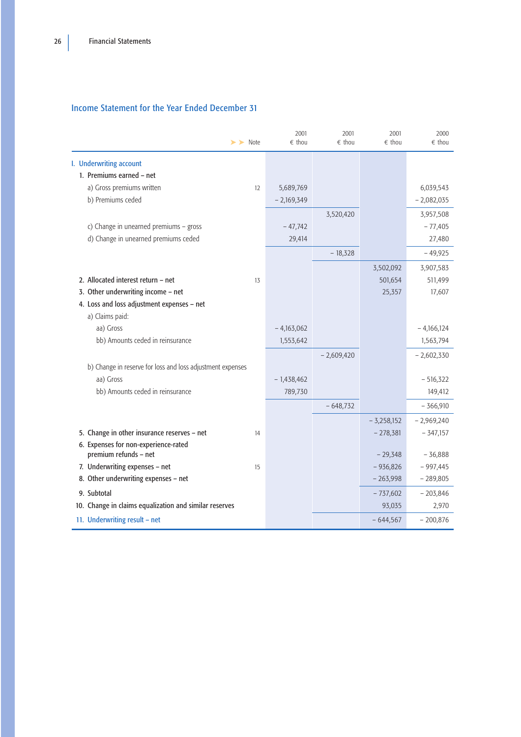# <span id="page-28-0"></span>Income Statement for the Year Ended December 31

|                                                               | $\blacktriangleright$ $\blacktriangleright$ Note | 2001<br>$\epsilon$ thou | 2001<br>$\epsilon$ thou | 2001<br>$\epsilon$ thou | 2000<br>$\epsilon$ thou |
|---------------------------------------------------------------|--------------------------------------------------|-------------------------|-------------------------|-------------------------|-------------------------|
| I. Underwriting account                                       |                                                  |                         |                         |                         |                         |
| 1. Premiums earned - net                                      |                                                  |                         |                         |                         |                         |
| a) Gross premiums written                                     | 12                                               | 5,689,769               |                         |                         | 6,039,543               |
| b) Premiums ceded                                             |                                                  | $-2,169,349$            |                         |                         | $-2,082,035$            |
|                                                               |                                                  |                         | 3,520,420               |                         | 3,957,508               |
| c) Change in unearned premiums - gross                        |                                                  | $-47,742$               |                         |                         | $-77,405$               |
| d) Change in unearned premiums ceded                          |                                                  | 29,414                  |                         |                         | 27,480                  |
|                                                               |                                                  |                         | $-18,328$               |                         | $-49,925$               |
|                                                               |                                                  |                         |                         | 3,502,092               | 3,907,583               |
| 2. Allocated interest return - net                            | 13                                               |                         |                         | 501,654                 | 511,499                 |
| 3. Other underwriting income - net                            |                                                  |                         |                         | 25,357                  | 17,607                  |
| 4. Loss and loss adjustment expenses - net                    |                                                  |                         |                         |                         |                         |
| a) Claims paid:                                               |                                                  |                         |                         |                         |                         |
| aa) Gross                                                     |                                                  | $-4,163,062$            |                         |                         | $-4,166,124$            |
| bb) Amounts ceded in reinsurance                              |                                                  | 1,553,642               |                         |                         | 1,563,794               |
|                                                               |                                                  |                         | $-2,609,420$            |                         | $-2,602,330$            |
| b) Change in reserve for loss and loss adjustment expenses    |                                                  |                         |                         |                         |                         |
| aa) Gross                                                     |                                                  | $-1,438,462$            |                         |                         | $-516,322$              |
| bb) Amounts ceded in reinsurance                              |                                                  | 789,730                 |                         |                         | 149,412                 |
|                                                               |                                                  |                         | $-648,732$              |                         | $-366,910$              |
|                                                               |                                                  |                         |                         | $-3,258,152$            | $-2,969,240$            |
| 5. Change in other insurance reserves - net                   | 14                                               |                         |                         | $-278,381$              | $-347,157$              |
| 6. Expenses for non-experience-rated<br>premium refunds - net |                                                  |                         |                         | $-29,348$               | $-36,888$               |
| 7. Underwriting expenses - net                                | 15                                               |                         |                         | $-936,826$              | $-997,445$              |
| 8. Other underwriting expenses - net                          |                                                  |                         |                         | $-263,998$              | $-289,805$              |
| 9. Subtotal                                                   |                                                  |                         |                         | $-737,602$              | $-203,846$              |
| 10. Change in claims equalization and similar reserves        |                                                  |                         |                         | 93,035                  | 2,970                   |
| 11. Underwriting result - net                                 |                                                  |                         |                         | $-644,567$              | $-200,876$              |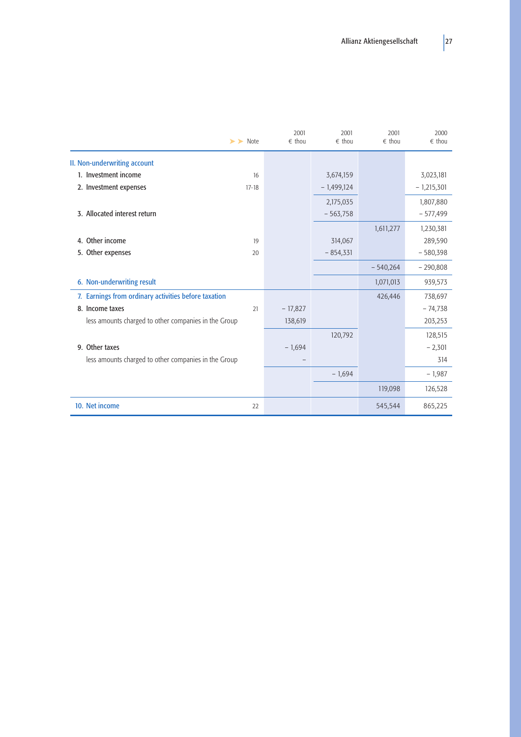| $\blacktriangleright$ Note                           |           | 2001<br>$\epsilon$ thou | 2001<br>$\epsilon$ thou | 2001<br>$\epsilon$ thou | 2000<br>$\epsilon$ thou |
|------------------------------------------------------|-----------|-------------------------|-------------------------|-------------------------|-------------------------|
| II. Non-underwriting account                         |           |                         |                         |                         |                         |
| 1. Investment income                                 | 16        |                         | 3,674,159               |                         | 3,023,181               |
| 2. Investment expenses                               | $17 - 18$ |                         | $-1,499,124$            |                         | $-1,215,301$            |
|                                                      |           |                         | 2,175,035               |                         | 1,807,880               |
| 3. Allocated interest return                         |           |                         | $-563,758$              |                         | $-577,499$              |
|                                                      |           |                         |                         | 1,611,277               | 1,230,381               |
| 4. Other income                                      | 19        |                         | 314,067                 |                         | 289,590                 |
| 5. Other expenses                                    | 20        |                         | $-854,331$              |                         | $-580,398$              |
|                                                      |           |                         |                         | $-540,264$              | $-290,808$              |
| 6. Non-underwriting result                           |           |                         |                         | 1,071,013               | 939,573                 |
| 7. Earnings from ordinary activities before taxation |           |                         |                         | 426,446                 | 738,697                 |
| 8. Income taxes                                      | 21        | $-17,827$               |                         |                         | $-74,738$               |
| less amounts charged to other companies in the Group |           | 138,619                 |                         |                         | 203,253                 |
|                                                      |           |                         | 120,792                 |                         | 128,515                 |
| 9. Other taxes                                       |           | $-1,694$                |                         |                         | $-2,301$                |
| less amounts charged to other companies in the Group |           |                         |                         |                         | 314                     |
|                                                      |           |                         | $-1,694$                |                         | $-1,987$                |
|                                                      |           |                         |                         | 119,098                 | 126,528                 |
| 10. Net income                                       | 22        |                         |                         | 545,544                 | 865,225                 |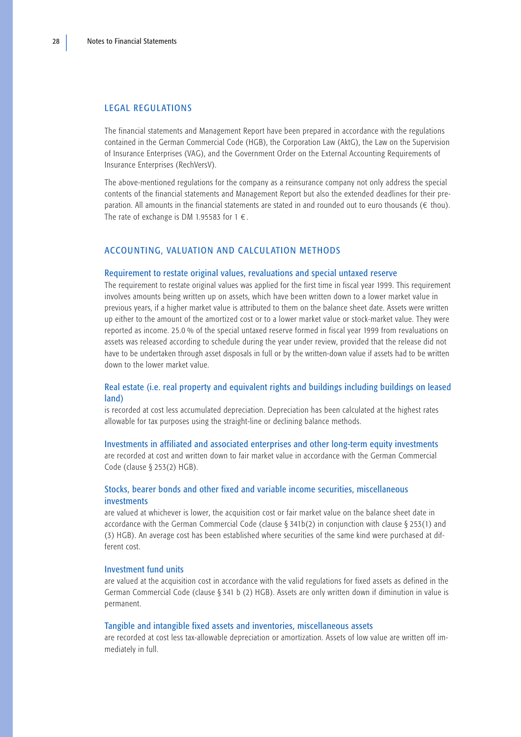## <span id="page-30-0"></span>LEGAL REGULATIONS

The financial statements and Management Report have been prepared in accordance with the regulations contained in the German Commercial Code (HGB), the Corporation Law (AktG), the Law on the Supervision of Insurance Enterprises (VAG), and the Government Order on the External Accounting Requirements of Insurance Enterprises (RechVersV).

The above-mentioned regulations for the company as a reinsurance company not only address the special contents of the financial statements and Management Report but also the extended deadlines for their preparation. All amounts in the financial statements are stated in and rounded out to euro thousands ( $\epsilon$  thou). The rate of exchange is DM 1.95583 for  $1 \in$ .

## ACCOUNTING, VALUATION AND CALCULATION METHODS

#### Requirement to restate original values, revaluations and special untaxed reserve

The requirement to restate original values was applied for the first time in fiscal year 1999. This requirement involves amounts being written up on assets, which have been written down to a lower market value in previous years, if a higher market value is attributed to them on the balance sheet date. Assets were written up either to the amount of the amortized cost or to a lower market value or stock-market value. They were reported as income. 25.0 % of the special untaxed reserve formed in fiscal year 1999 from revaluations on assets was released according to schedule during the year under review, provided that the release did not have to be undertaken through asset disposals in full or by the written-down value if assets had to be written down to the lower market value.

## Real estate (i.e. real property and equivalent rights and buildings including buildings on leased land)

is recorded at cost less accumulated depreciation. Depreciation has been calculated at the highest rates allowable for tax purposes using the straight-line or declining balance methods.

## Investments in affiliated and associated enterprises and other long-term equity investments

are recorded at cost and written down to fair market value in accordance with the German Commercial Code (clause § 253(2) HGB).

# Stocks, bearer bonds and other fixed and variable income securities, miscellaneous investments

are valued at whichever is lower, the acquisition cost or fair market value on the balance sheet date in accordance with the German Commercial Code (clause § 341b(2) in conjunction with clause § 253(1) and (3) HGB). An average cost has been established where securities of the same kind were purchased at different cost.

#### Investment fund units

are valued at the acquisition cost in accordance with the valid regulations for fixed assets as defined in the German Commercial Code (clause § 341 b (2) HGB). Assets are only written down if diminution in value is permanent.

## Tangible and intangible fixed assets and inventories, miscellaneous assets

are recorded at cost less tax-allowable depreciation or amortization. Assets of low value are written off immediately in full.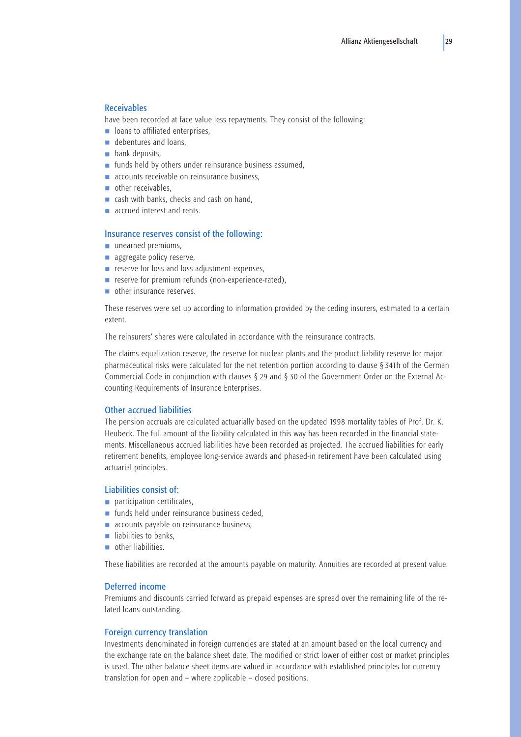## <span id="page-31-0"></span>Receivables

have been recorded at face value less repayments. They consist of the following:

- loans to affiliated enterprises,
- debentures and loans.
- bank deposits,
- funds held by others under reinsurance business assumed,
- accounts receivable on reinsurance business,
- other receivables,
- cash with banks, checks and cash on hand,
- accrued interest and rents.

## Insurance reserves consist of the following:

- unearned premiums,
- aggregate policy reserve,
- reserve for loss and loss adjustment expenses,
- reserve for premium refunds (non-experience-rated),
- other insurance reserves.

These reserves were set up according to information provided by the ceding insurers, estimated to a certain extent.

The reinsurers' shares were calculated in accordance with the reinsurance contracts.

The claims equalization reserve, the reserve for nuclear plants and the product liability reserve for major pharmaceutical risks were calculated for the net retention portion according to clause § 341h of the German Commercial Code in conjunction with clauses § 29 and § 30 of the Government Order on the External Accounting Requirements of Insurance Enterprises.

### Other accrued liabilities

The pension accruals are calculated actuarially based on the updated 1998 mortality tables of Prof. Dr. K. Heubeck. The full amount of the liability calculated in this way has been recorded in the financial statements. Miscellaneous accrued liabilities have been recorded as projected. The accrued liabilities for early retirement benefits, employee long-service awards and phased-in retirement have been calculated using actuarial principles.

## Liabilities consist of:

- participation certificates,
- funds held under reinsurance business ceded,
- accounts payable on reinsurance business,
- liabilities to banks.
- other liabilities.

These liabilities are recorded at the amounts payable on maturity. Annuities are recorded at present value.

#### Deferred income

Premiums and discounts carried forward as prepaid expenses are spread over the remaining life of the related loans outstanding.

# Foreign currency translation

Investments denominated in foreign currencies are stated at an amount based on the local currency and the exchange rate on the balance sheet date. The modified or strict lower of either cost or market principles is used. The other balance sheet items are valued in accordance with established principles for currency translation for open and – where applicable – closed positions.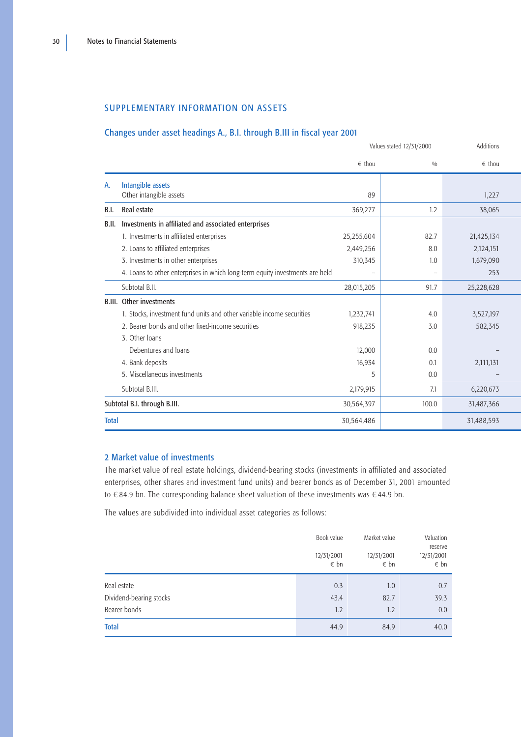## <span id="page-32-0"></span>SUPPLEMENTARY INFORMATION ON ASSETS

# Changes under asset headings A., B.I. through B.III in fiscal year 2001

|              |                                                                              | Values stated 12/31/2000 | Additions |                 |
|--------------|------------------------------------------------------------------------------|--------------------------|-----------|-----------------|
|              |                                                                              | $\epsilon$ thou          | 0/0       | $\epsilon$ thou |
| А.           | <b>Intangible assets</b>                                                     |                          |           |                 |
|              | Other intangible assets                                                      | 89                       |           | 1,227           |
| B.I.         | Real estate                                                                  | 369,277                  | 1.2       | 38,065          |
| B.II.        | Investments in affiliated and associated enterprises                         |                          |           |                 |
|              | 1. Investments in affiliated enterprises                                     | 25,255,604               | 82.7      | 21,425,134      |
|              | 2. Loans to affiliated enterprises                                           | 2,449,256                | 8.0       | 2,124,151       |
|              | 3. Investments in other enterprises                                          | 310,345                  | 1.0       | 1,679,090       |
|              | 4. Loans to other enterprises in which long-term equity investments are held |                          |           | 253             |
|              | Subtotal B.II.                                                               | 28,015,205               | 91.7      | 25,228,628      |
|              | <b>B.III.</b> Other investments                                              |                          |           |                 |
|              | 1. Stocks, investment fund units and other variable income securities        | 1,232,741                | 4.0       | 3,527,197       |
|              | 2. Bearer bonds and other fixed-income securities                            | 918,235                  | 3.0       | 582,345         |
|              | 3. Other loans                                                               |                          |           |                 |
|              | Debentures and loans                                                         | 12,000                   | 0.0       |                 |
|              | 4. Bank deposits                                                             | 16,934                   | 0.1       | 2,111,131       |
|              | 5. Miscellaneous investments                                                 | 5                        | 0.0       |                 |
|              | Subtotal B.III.                                                              | 2,179,915                | 7.1       | 6,220,673       |
|              | Subtotal B.I. through B.III.                                                 | 30,564,397               | 100.0     | 31,487,366      |
| <b>Total</b> |                                                                              | 30,564,486               |           | 31,488,593      |

# 2 Market value of investments

The market value of real estate holdings, dividend-bearing stocks (investments in affiliated and associated enterprises, other shares and investment fund units) and bearer bonds as of December 31, 2001 amounted to  $\epsilon$ 84.9 bn. The corresponding balance sheet valuation of these investments was  $\epsilon$ 44.9 bn.

The values are subdivided into individual asset categories as follows:

|                                                        | Book value<br>12/31/2001<br>$\epsilon$ bn | Market value<br>12/31/2001<br>$\epsilon$ bn | Valuation<br>reserve<br>12/31/2001<br>$\epsilon$ bn |
|--------------------------------------------------------|-------------------------------------------|---------------------------------------------|-----------------------------------------------------|
| Real estate<br>Dividend-bearing stocks<br>Bearer bonds | 0.3<br>43.4<br>1.2                        | 1.0<br>82.7<br>1.2                          | 0.7<br>39.3<br>0.0                                  |
| <b>Total</b>                                           | 44.9                                      | 84.9                                        | 40.0                                                |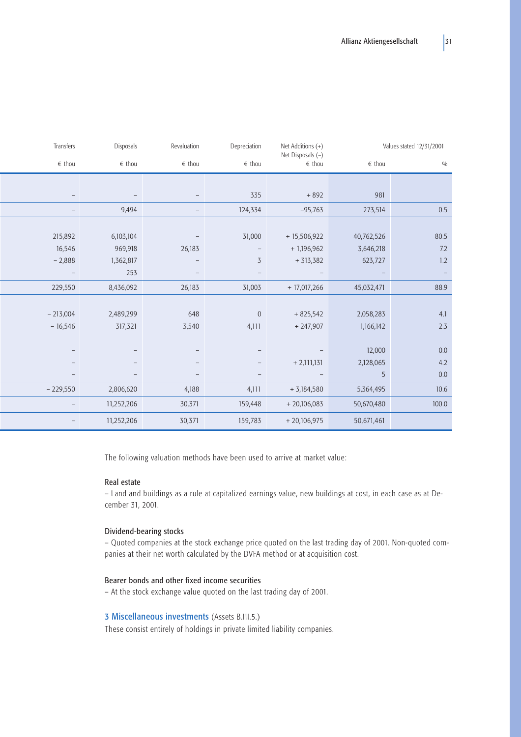| Transfers    | Disposals       | Revaluation     | Depreciation     | Net Additions (+)<br>Net Disposals (-) |                 | Values stated 12/31/2001 |
|--------------|-----------------|-----------------|------------------|----------------------------------------|-----------------|--------------------------|
| $\in\,$ thou | $\epsilon$ thou | $\epsilon$ thou | $\in\,$ thou     | $\epsilon$ thou                        | $\epsilon$ thou | 0/0                      |
|              |                 |                 |                  |                                        |                 |                          |
|              |                 |                 | 335              | $+892$                                 | 981             |                          |
|              | 9,494           |                 | 124,334          | $-95,763$                              | 273,514         | $0.5\,$                  |
|              |                 |                 |                  |                                        |                 |                          |
| 215,892      | 6,103,104       |                 | 31,000           | $+15,506,922$                          | 40,762,526      | 80.5                     |
| 16,546       | 969,918         | 26,183          |                  | $+1,196,962$                           | 3,646,218       | 7.2                      |
| $-2,888$     | 1,362,817       |                 | $\overline{3}$   | $+313,382$                             | 623,727         | $1.2\,$                  |
|              | 253             |                 |                  |                                        |                 | $\overline{\phantom{a}}$ |
| 229,550      | 8,436,092       | 26,183          | 31,003           | $+ 17,017,266$                         | 45,032,471      | 88.9                     |
|              |                 |                 |                  |                                        |                 |                          |
| $-213,004$   | 2,489,299       | 648             | $\boldsymbol{0}$ | $+825,542$                             | 2,058,283       | 4.1                      |
| $-16,546$    | 317,321         | 3,540           | 4,111            | $+247,907$                             | 1,166,142       | $2.3$                    |
|              |                 |                 |                  |                                        |                 |                          |
|              |                 |                 |                  |                                        | 12,000          | $0.0\,$                  |
|              |                 |                 |                  | $+ 2,111,131$                          | 2,128,065       | 4.2                      |
|              |                 |                 |                  | $\qquad \qquad -$                      | 5               | $0.0\,$                  |
| $-229,550$   | 2,806,620       | 4,188           | 4,111            | $+ 3,184,580$                          | 5,364,495       | 10.6                     |
|              | 11,252,206      | 30,371          | 159,448          | $+20,106,083$                          | 50,670,480      | 100.0                    |
|              | 11,252,206      | 30,371          | 159,783          | $+20,106,975$                          | 50,671,461      |                          |

The following valuation methods have been used to arrive at market value:

## Real estate

– Land and buildings as a rule at capitalized earnings value, new buildings at cost, in each case as at December 31, 2001.

# Dividend-bearing stocks

– Quoted companies at the stock exchange price quoted on the last trading day of 2001. Non-quoted companies at their net worth calculated by the DVFA method or at acquisition cost.

# Bearer bonds and other fixed income securities

– At the stock exchange value quoted on the last trading day of 2001.

## 3 Miscellaneous investments (Assets B.III.5.)

These consist entirely of holdings in private limited liability companies.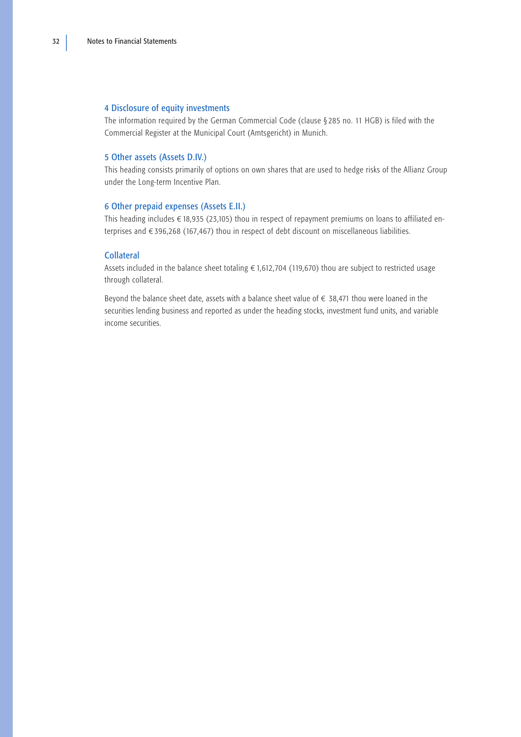## <span id="page-34-0"></span>4 Disclosure of equity investments

The information required by the German Commercial Code (clause § 285 no. 11 HGB) is filed with the Commercial Register at the Municipal Court (Amtsgericht) in Munich.

## 5 Other assets (Assets D.IV.)

This heading consists primarily of options on own shares that are used to hedge risks of the Allianz Group under the Long-term Incentive Plan.

# 6 Other prepaid expenses (Assets E.II.)

This heading includes  $\in$  18,935 (23,105) thou in respect of repayment premiums on loans to affiliated enterprises and  $\epsilon$ 396,268 (167,467) thou in respect of debt discount on miscellaneous liabilities.

## Collateral

Assets included in the balance sheet totaling  $\epsilon$  1,612,704 (119,670) thou are subject to restricted usage through collateral.

Beyond the balance sheet date, assets with a balance sheet value of  $\epsilon$  38,471 thou were loaned in the securities lending business and reported as under the heading stocks, investment fund units, and variable income securities.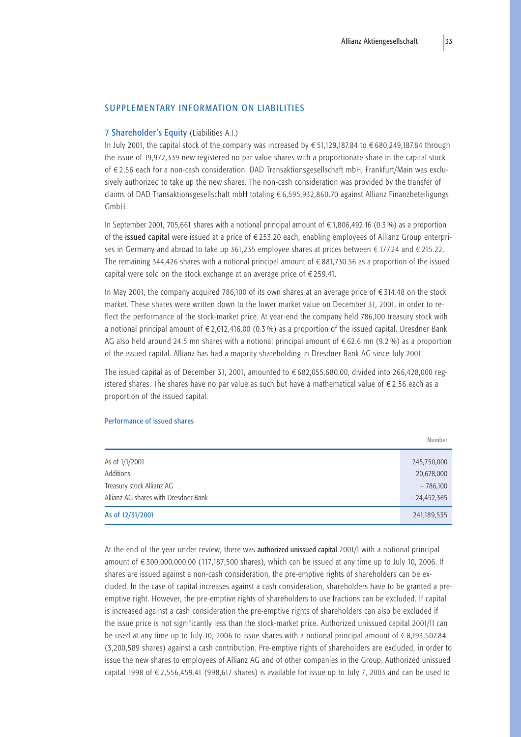## <span id="page-35-0"></span>SUPPLEMENTARY INFORMATION ON LIABILITIES

## 7 Shareholder's Equity (Liabilities A.I.)

In July 2001, the capital stock of the company was increased by  $\in$  51,129,187.84 to  $\in$  680,249,187.84 through the issue of 19,972,339 new registered no par value shares with a proportionate share in the capital stock of €2.56 each for a non-cash consideration. DAD Transaktionsgesellschaft mbH, Frankfurt/Main was exclusively authorized to take up the new shares. The non-cash consideration was provided by the transfer of claims of DAD Transaktionsgesellschaft mbH totaling  $\epsilon$  6,595,932,860.70 against Allianz Finanzbeteiligungs GmbH.

In September 2001, 705,661 shares with a notional principal amount of  $\epsilon$  1,806,492.16 (0.3 %) as a proportion of the issued capital were issued at a price of  $\epsilon$  253.20 each, enabling employees of Allianz Group enterprises in Germany and abroad to take up 361,235 employee shares at prices between  $\in$  177.24 and  $\in$  215.22. The remaining 344,426 shares with a notional principal amount of  $\epsilon$ 881,730.56 as a proportion of the issued capital were sold on the stock exchange at an average price of  $\epsilon$  259.41.

In May 2001, the company acquired 786,100 of its own shares at an average price of  $\epsilon$  314.48 on the stock market. These shares were written down to the lower market value on December 31, 2001, in order to reflect the performance of the stock-market price. At year-end the company held 786,100 treasury stock with a notional principal amount of  $\in 2,012,416.00$  (0.3 %) as a proportion of the issued capital. Dresdner Bank AG also held around 24.5 mn shares with a notional principal amount of  $\epsilon$  62.6 mn (9.2 %) as a proportion of the issued capital. Allianz has had a majority shareholding in Dresdner Bank AG since July 2001.

The issued capital as of December 31, 2001, amounted to  $\epsilon$  682,055,680.00, divided into 266,428,000 registered shares. The shares have no par value as such but have a mathematical value of  $\epsilon$  2.56 each as a proportion of the issued capital.

## Performance of issued shares

|                                      | Number        |
|--------------------------------------|---------------|
| As of 1/1/2001                       | 245,750,000   |
| Additions                            | 20,678,000    |
| Treasury stock Allianz AG            | $-786,100$    |
| Allianz AG shares with Dresdner Bank | $-24,452,365$ |
| As of 12/31/2001                     | 241,189,535   |

At the end of the year under review, there was authorized unissued capital 2001/I with a notional principal amount of  $\epsilon$ 300,000,000.00 (117,187,500 shares), which can be issued at any time up to July 10, 2006. If shares are issued against a non-cash consideration, the pre-emptive rights of shareholders can be excluded. In the case of capital increases against a cash consideration, shareholders have to be granted a preemptive right. However, the pre-emptive rights of shareholders to use fractions can be excluded. If capital is increased against a cash consideration the pre-emptive rights of shareholders can also be excluded if the issue price is not significantly less than the stock-market price. Authorized unissued capital 2001/II can be used at any time up to July 10, 2006 to issue shares with a notional principal amount of  $\epsilon$ 8,193,507.84 (3,200,589 shares) against a cash contribution. Pre-emptive rights of shareholders are excluded, in order to issue the new shares to employees of Allianz AG and of other companies in the Group. Authorized unissued capital 1998 of  $\epsilon$  2,556,459.41 (998,617 shares) is available for issue up to July 7, 2003 and can be used to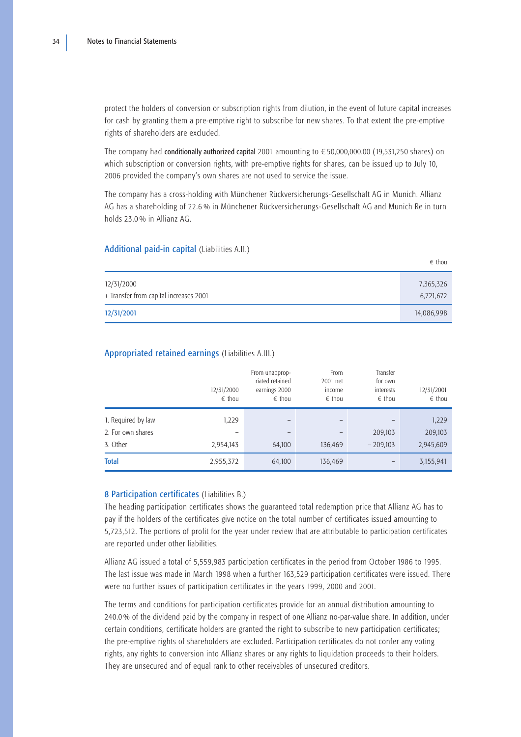<span id="page-36-0"></span>protect the holders of conversion or subscription rights from dilution, in the event of future capital increases for cash by granting them a pre-emptive right to subscribe for new shares. To that extent the pre-emptive rights of shareholders are excluded.

The company had conditionally authorized capital 2001 amounting to  $\epsilon$  50,000,000.00 (19,531,250 shares) on which subscription or conversion rights, with pre-emptive rights for shares, can be issued up to July 10, 2006 provided the company's own shares are not used to service the issue.

The company has a cross-holding with Münchener Rückversicherungs-Gesellschaft AG in Munich. Allianz AG has a shareholding of 22.6 % in Münchener Rückversicherungs-Gesellschaft AG and Munich Re in turn holds 23.0 % in Allianz AG.

## Additional paid-in capital (Liabilities A.II.)

|                                                      | $\epsilon$ thou        |
|------------------------------------------------------|------------------------|
| 12/31/2000<br>+ Transfer from capital increases 2001 | 7,365,326<br>6,721,672 |
| 12/31/2001                                           | 14,086,998             |

# Appropriated retained earnings (Liabilities A.III.)

|                    | 12/31/2000<br>$\epsilon$ thou | From unapprop-<br>riated retained<br>earnings 2000<br>$\epsilon$ thou | From<br>2001 net<br>income<br>$\epsilon$ thou | Transfer<br>for own<br>interests<br>$\epsilon$ thou | 12/31/2001<br>$\epsilon$ thou |
|--------------------|-------------------------------|-----------------------------------------------------------------------|-----------------------------------------------|-----------------------------------------------------|-------------------------------|
| 1. Required by law | 1,229                         | $\qquad \qquad$                                                       |                                               | $\qquad \qquad$                                     | 1,229                         |
| 2. For own shares  | $\overline{\phantom{0}}$      |                                                                       |                                               | 209,103                                             | 209,103                       |
| 3. Other           | 2,954,143                     | 64,100                                                                | 136,469                                       | $-209.103$                                          | 2,945,609                     |
| <b>Total</b>       | 2,955,372                     | 64,100                                                                | 136,469                                       |                                                     | 3,155,941                     |

## 8 Participation certificates (Liabilities B.)

The heading participation certificates shows the guaranteed total redemption price that Allianz AG has to pay if the holders of the certificates give notice on the total number of certificates issued amounting to 5,723,512. The portions of profit for the year under review that are attributable to participation certificates are reported under other liabilities.

Allianz AG issued a total of 5,559,983 participation certificates in the period from October 1986 to 1995. The last issue was made in March 1998 when a further 163,529 participation certificates were issued. There were no further issues of participation certificates in the years 1999, 2000 and 2001.

The terms and conditions for participation certificates provide for an annual distribution amounting to 240.0 % of the dividend paid by the company in respect of one Allianz no-par-value share. In addition, under certain conditions, certificate holders are granted the right to subscribe to new participation certificates; the pre-emptive rights of shareholders are excluded. Participation certificates do not confer any voting rights, any rights to conversion into Allianz shares or any rights to liquidation proceeds to their holders. They are unsecured and of equal rank to other receivables of unsecured creditors.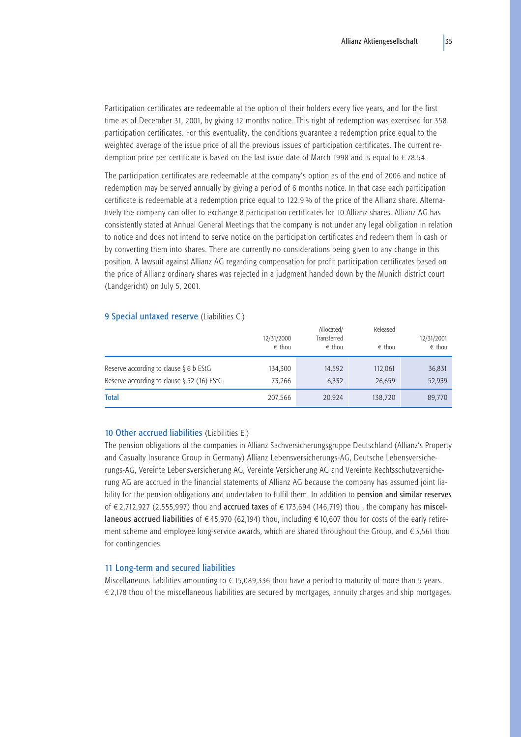<span id="page-37-0"></span>Participation certificates are redeemable at the option of their holders every five years, and for the first time as of December 31, 2001, by giving 12 months notice. This right of redemption was exercised for 358 participation certificates. For this eventuality, the conditions guarantee a redemption price equal to the weighted average of the issue price of all the previous issues of participation certificates. The current redemption price per certificate is based on the last issue date of March 1998 and is equal to  $\epsilon$  78.54.

The participation certificates are redeemable at the company's option as of the end of 2006 and notice of redemption may be served annually by giving a period of 6 months notice. In that case each participation certificate is redeemable at a redemption price equal to 122.9 % of the price of the Allianz share. Alternatively the company can offer to exchange 8 participation certificates for 10 Allianz shares. Allianz AG has consistently stated at Annual General Meetings that the company is not under any legal obligation in relation to notice and does not intend to serve notice on the participation certificates and redeem them in cash or by converting them into shares. There are currently no considerations being given to any change in this position. A lawsuit against Allianz AG regarding compensation for profit participation certificates based on the price of Allianz ordinary shares was rejected in a judgment handed down by the Munich district court (Landgericht) on July 5, 2001.

## 9 Special untaxed reserve (Liabilities C.)

|                                                                                            | 12/31/2000<br>$\epsilon$ thou | Allocated/<br>Transferred<br>$\epsilon$ thou | Released<br>$\epsilon$ thou | 12/31/2001<br>$\epsilon$ thou |
|--------------------------------------------------------------------------------------------|-------------------------------|----------------------------------------------|-----------------------------|-------------------------------|
| Reserve according to clause $\S 6 b$ EStG<br>Reserve according to clause $\S$ 52 (16) EStG | 134,300<br>73,266             | 14,592<br>6,332                              | 112,061<br>26,659           | 36,831<br>52,939              |
| <b>Total</b>                                                                               | 207,566                       | 20.924                                       | 138,720                     | 89,770                        |

## 10 Other accrued liabilities (Liabilities E.)

The pension obligations of the companies in Allianz Sachversicherungsgruppe Deutschland (Allianz's Property and Casualty Insurance Group in Germany) Allianz Lebensversicherungs-AG, Deutsche Lebensversicherungs-AG, Vereinte Lebensversicherung AG, Vereinte Versicherung AG and Vereinte Rechtsschutzversicherung AG are accrued in the financial statements of Allianz AG because the company has assumed joint liability for the pension obligations and undertaken to fulfil them. In addition to pension and similar reserves of  $\in$  2,712,927 (2,555,997) thou and accrued taxes of  $\in$  173,694 (146,719) thou , the company has miscellaneous accrued liabilities of  $\epsilon$ 45,970 (62,194) thou, including  $\epsilon$  10,607 thou for costs of the early retirement scheme and employee long-service awards, which are shared throughout the Group, and  $\epsilon$ 3,561 thou for contingencies.

### 11 Long-term and secured liabilities

Miscellaneous liabilities amounting to  $\epsilon$  15,089,336 thou have a period to maturity of more than 5 years.  $\epsilon$ 2,178 thou of the miscellaneous liabilities are secured by mortgages, annuity charges and ship mortgages.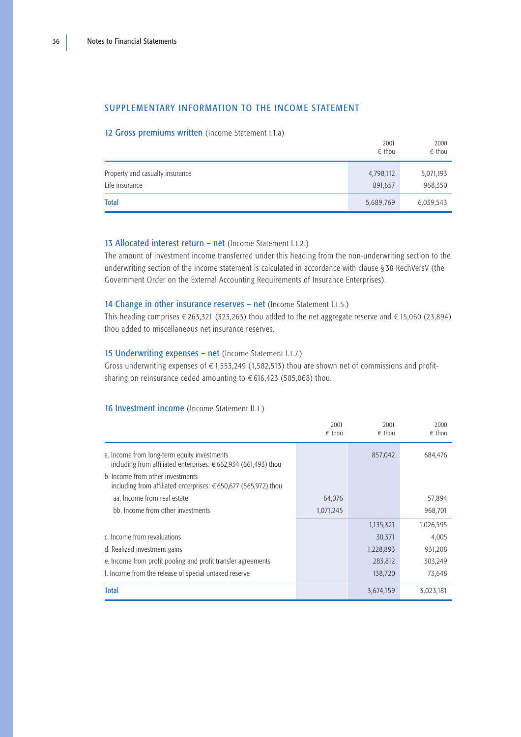## <span id="page-38-0"></span>SUPPLEMENTARY INFORMATION TO THE INCOME STATEMENT

## 12 Gross premiums written (Income Statement I.1.a)

|                                                   | 2001<br>$\epsilon$ thou | 2000<br>$\epsilon$ thou |
|---------------------------------------------------|-------------------------|-------------------------|
| Property and casualty insurance<br>Life insurance | 4,798,112<br>891,657    | 5,071,193<br>968,350    |
| <b>Total</b>                                      | 5,689,769               | 6,039,543               |

## 13 Allocated interest return - net (Income Statement I.1.2.)

The amount of investment income transferred under this heading from the non-underwriting section to the underwriting section of the income statement is calculated in accordance with clause § 38 RechVersV (the Government Order on the External Accounting Requirements of Insurance Enterprises).

## 14 Change in other insurance reserves - net (Income Statement I.1.5.)

This heading comprises  $\in$  263,321 (323,263) thou added to the net aggregate reserve and  $\in$  15,060 (23,894) thou added to miscellaneous net insurance reserves.

# 15 Underwriting expenses – net (Income Statement I.1.7.)

Gross underwriting expenses of  $\epsilon$  1,553,249 (1,582,513) thou are shown net of commissions and profitsharing on reinsurance ceded amounting to  $\epsilon$  616,423 (585,068) thou.

# 16 Investment income (Income Statement II.1.)

|                                                                                                                         | 2001<br>$\epsilon$ thou | 2001<br>$\epsilon$ thou | 2000<br>$\epsilon$ thou |
|-------------------------------------------------------------------------------------------------------------------------|-------------------------|-------------------------|-------------------------|
| a. Income from long-term equity investments<br>including from affiliated enterprises: $\epsilon$ 662,934 (661,493) thou |                         | 857,042                 | 684,476                 |
| b. Income from other investments<br>including from affiliated enterprises: $\epsilon$ 650,677 (565,972) thou            |                         |                         |                         |
| aa. Income from real estate                                                                                             | 64,076                  |                         | 57,894                  |
| bb Income from other investments                                                                                        | 1,071,245               |                         | 968,701                 |
|                                                                                                                         |                         | 1,135,321               | 1,026,595               |
| c. Income from revaluations                                                                                             |                         | 30,371                  | 4,005                   |
| d. Realized investment gains                                                                                            |                         | 1,228,893               | 931,208                 |
| e. Income from profit pooling and profit transfer agreements                                                            |                         | 283,812                 | 303,249                 |
| f. Income from the release of special untaxed reserve                                                                   |                         | 138,720                 | 73,648                  |
| <b>Total</b>                                                                                                            |                         | 3,674,159               | 3,023,181               |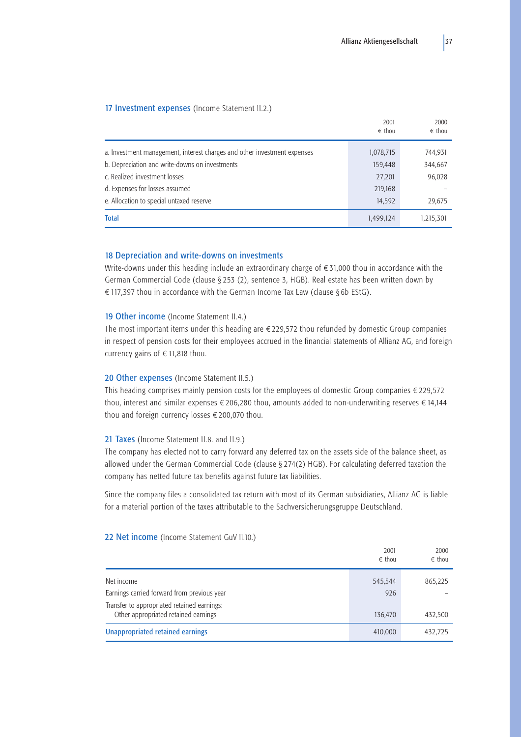## <span id="page-39-0"></span>17 Investment expenses (Income Statement II.2.)

|                                                                          | 2001<br>$\epsilon$ thou | 2000<br>$\epsilon$ thou |
|--------------------------------------------------------------------------|-------------------------|-------------------------|
| a. Investment management, interest charges and other investment expenses | 1,078,715               | 744,931                 |
| b. Depreciation and write-downs on investments                           | 159,448                 | 344,667                 |
| c. Realized investment losses                                            | 27,201                  | 96,028                  |
| d. Expenses for losses assumed                                           | 219,168                 |                         |
| e. Allocation to special untaxed reserve                                 | 14,592                  | 29,675                  |
| <b>Total</b>                                                             | 1,499,124               | 1,215,301               |

## 18 Depreciation and write-downs on investments

Write-downs under this heading include an extraordinary charge of  $\epsilon$  31,000 thou in accordance with the German Commercial Code (clause § 253 (2), sentence 3, HGB). Real estate has been written down by € 117,397 thou in accordance with the German Income Tax Law (clause § 6b EStG).

#### 19 Other income (Income Statement II.4.)

The most important items under this heading are  $\epsilon$  229,572 thou refunded by domestic Group companies in respect of pension costs for their employees accrued in the financial statements of Allianz AG, and foreign currency gains of  $\in$  11,818 thou.

## 20 Other expenses (Income Statement II.5.)

This heading comprises mainly pension costs for the employees of domestic Group companies  $\epsilon$  229.572 thou, interest and similar expenses  $\epsilon$  206,280 thou, amounts added to non-underwriting reserves  $\epsilon$  14,144 thou and foreign currency losses  $\epsilon$  200,070 thou.

### 21 Taxes (Income Statement II.8. and II.9.)

The company has elected not to carry forward any deferred tax on the assets side of the balance sheet, as allowed under the German Commercial Code (clause § 274(2) HGB). For calculating deferred taxation the company has netted future tax benefits against future tax liabilities.

Since the company files a consolidated tax return with most of its German subsidiaries, Allianz AG is liable for a material portion of the taxes attributable to the Sachversicherungsgruppe Deutschland.

## 22 Net income (Income Statement GuV II.10.)

|                                                                                     | 2001<br>$\epsilon$ thou | 2000<br>$\epsilon$ thou |
|-------------------------------------------------------------------------------------|-------------------------|-------------------------|
| Net income                                                                          | 545.544                 | 865,225                 |
| Earnings carried forward from previous year                                         | 926                     |                         |
| Transfer to appropriated retained earnings:<br>Other appropriated retained earnings | 136,470                 | 432,500                 |
| Unappropriated retained earnings                                                    | 410,000                 | 432,725                 |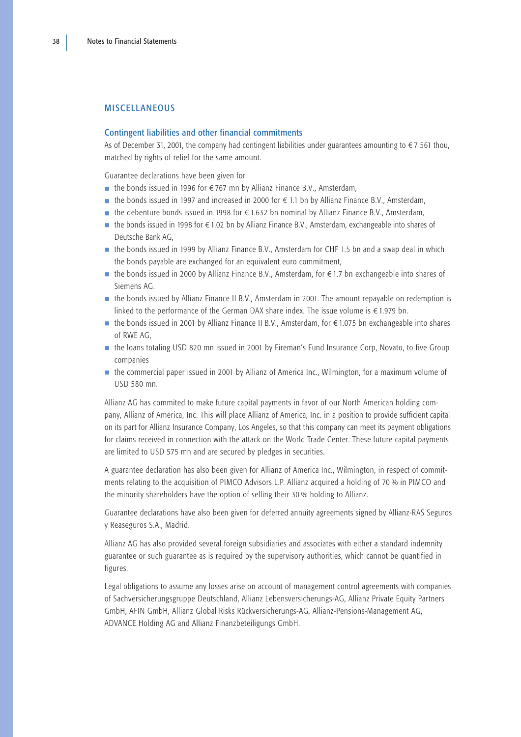## <span id="page-40-0"></span>MISCELLANEOUS

## Contingent liabilities and other financial commitments

As of December 31, 2001, the company had contingent liabilities under guarantees amounting to  $\epsilon$  7 561 thou, matched by rights of relief for the same amount.

Guarantee declarations have been given for

- the bonds issued in 1996 for  $€767$  mn by Allianz Finance B.V., Amsterdam,
- the bonds issued in 1997 and increased in 2000 for  $∈$  1.1 bn by Allianz Finance B.V., Amsterdam,
- the debenture bonds issued in 1998 for  $€1.632$  bn nominal by Allianz Finance B.V., Amsterdam,
- $\blacksquare$  the bonds issued in 1998 for  $\epsilon$  1.02 bn by Allianz Finance B.V., Amsterdam, exchangeable into shares of Deutsche Bank AG,
- the bonds issued in 1999 by Allianz Finance B.V., Amsterdam for CHF 1.5 bn and a swap deal in which the bonds payable are exchanged for an equivalent euro commitment,
- the bonds issued in 2000 by Allianz Finance B.V., Amsterdam, for  $∈ 1.7$  bn exchangeable into shares of Siemens AG.
- the bonds issued by Allianz Finance II B.V., Amsterdam in 2001. The amount repayable on redemption is linked to the performance of the German DAX share index. The issue volume is  $\epsilon$  1.979 bn.
- $\blacksquare$  the bonds issued in 2001 by Allianz Finance II B.V., Amsterdam, for  $\epsilon$  1.075 bn exchangeable into shares of RWE AG,
- the loans totaling USD 820 mn issued in 2001 by Fireman's Fund Insurance Corp, Novato, to five Group companies
- the commercial paper issued in 2001 by Allianz of America Inc., Wilmington, for a maximum volume of USD 580 mn.

Allianz AG has commited to make future capital payments in favor of our North American holding company, Allianz of America, Inc. This will place Allianz of America, Inc. in a position to provide sufficient capital on its part for Allianz Insurance Company, Los Angeles, so that this company can meet its payment obligations for claims received in connection with the attack on the World Trade Center. These future capital payments are limited to USD 575 mn and are secured by pledges in securities.

A guarantee declaration has also been given for Allianz of America Inc., Wilmington, in respect of commitments relating to the acquisition of PIMCO Advisors L.P. Allianz acquired a holding of 70 % in PIMCO and the minority shareholders have the option of selling their 30 % holding to Allianz.

Guarantee declarations have also been given for deferred annuity agreements signed by Allianz-RAS Seguros y Reaseguros S.A., Madrid.

Allianz AG has also provided several foreign subsidiaries and associates with either a standard indemnity guarantee or such guarantee as is required by the supervisory authorities, which cannot be quantified in figures.

Legal obligations to assume any losses arise on account of management control agreements with companies of Sachversicherungsgruppe Deutschland, Allianz Lebensversicherungs-AG, Allianz Private Equity Partners GmbH, AFIN GmbH, Allianz Global Risks Rückversicherungs-AG, Allianz-Pensions-Management AG, ADVANCE Holding AG and Allianz Finanzbeteiligungs GmbH.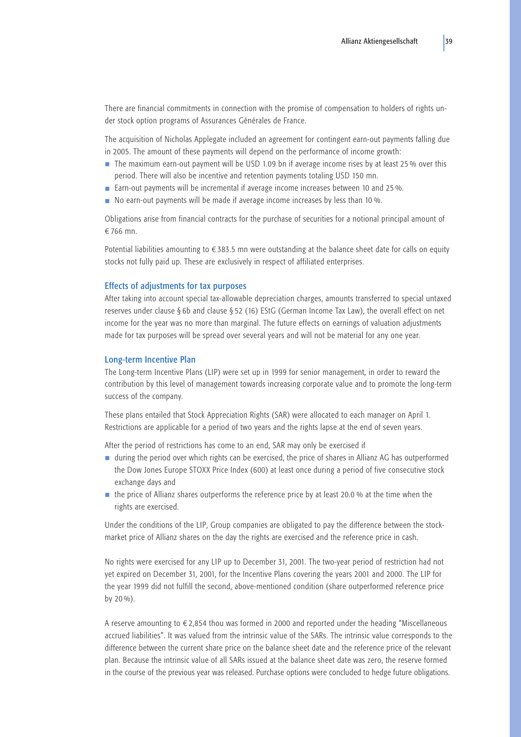There are financial commitments in connection with the promise of compensation to holders of rights under stock option programs of Assurances Générales de France.

The acquisition of Nicholas Applegate included an agreement for contingent earn-out payments falling due in 2005. The amount of these payments will depend on the performance of income growth:

- The maximum earn-out payment will be USD 1.09 bn if average income rises by at least 25 % over this period. There will also be incentive and retention payments totaling USD 150 mn.
- Earn-out payments will be incremental if average income increases between 10 and 25 %.
- No earn-out payments will be made if average income increases by less than 10 %.

Obligations arise from financial contracts for the purchase of securities for a notional principal amount of ¤766 mn.

Potential liabilities amounting to  $\epsilon$ 383.5 mn were outstanding at the balance sheet date for calls on equity stocks not fully paid up. These are exclusively in respect of affiliated enterprises.

## Effects of adjustments for tax purposes

After taking into account special tax-allowable depreciation charges, amounts transferred to special untaxed reserves under clause § 6b and clause § 52 (16) EStG (German Income Tax Law), the overall effect on net income for the year was no more than marginal. The future effects on earnings of valuation adjustments made for tax purposes will be spread over several years and will not be material for any one year.

### Long-term Incentive Plan

The Long-term Incentive Plans (LIP) were set up in 1999 for senior management, in order to reward the contribution by this level of management towards increasing corporate value and to promote the long-term success of the company.

These plans entailed that Stock Appreciation Rights (SAR) were allocated to each manager on April 1. Restrictions are applicable for a period of two years and the rights lapse at the end of seven years.

After the period of restrictions has come to an end, SAR may only be exercised if

- during the period over which rights can be exercised, the price of shares in Allianz AG has outperformed the Dow Jones Europe STOXX Price Index (600) at least once during a period of five consecutive stock exchange days and
- the price of Allianz shares outperforms the reference price by at least 20.0 % at the time when the rights are exercised.

Under the conditions of the LIP, Group companies are obligated to pay the difference between the stockmarket price of Allianz shares on the day the rights are exercised and the reference price in cash.

No rights were exercised for any LIP up to December 31, 2001. The two-year period of restriction had not yet expired on December 31, 2001, for the Incentive Plans covering the years 2001 and 2000. The LIP for the year 1999 did not fulfill the second, above-mentioned condition (share outperformed reference price by 20 %).

A reserve amounting to  $\epsilon$  2,854 thou was formed in 2000 and reported under the heading "Miscellaneous accrued liabilities". It was valued from the intrinsic value of the SARs. The intrinsic value corresponds to the difference between the current share price on the balance sheet date and the reference price of the relevant plan. Because the intrinsic value of all SARs issued at the balance sheet date was zero, the reserve formed in the course of the previous year was released. Purchase options were concluded to hedge future obligations.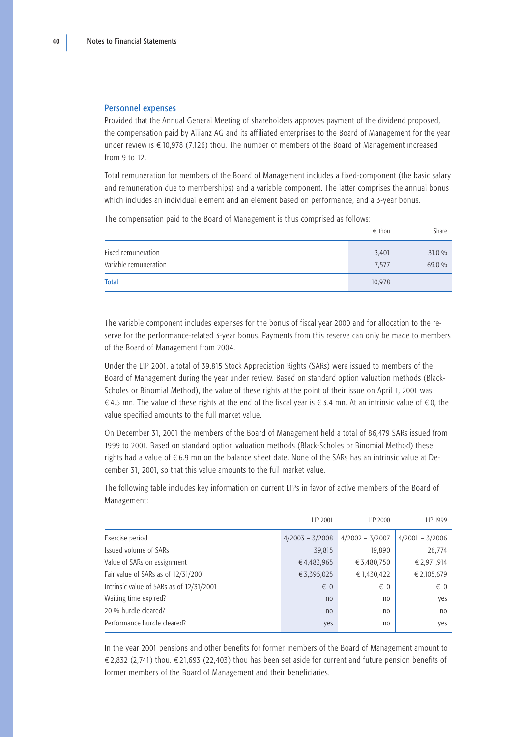### Personnel expenses

Provided that the Annual General Meeting of shareholders approves payment of the dividend proposed, the compensation paid by Allianz AG and its affiliated enterprises to the Board of Management for the year under review is  $\epsilon$  10,978 (7,126) thou. The number of members of the Board of Management increased from 9 to 12.

Total remuneration for members of the Board of Management includes a fixed-component (the basic salary and remuneration due to memberships) and a variable component. The latter comprises the annual bonus which includes an individual element and an element based on performance, and a 3-year bonus.

The compensation paid to the Board of Management is thus comprised as follows:

|                                             | $\epsilon$ thou | Share            |
|---------------------------------------------|-----------------|------------------|
| Fixed remuneration<br>Variable remuneration | 3,401<br>7,577  | 31.0 %<br>69.0 % |
| <b>Total</b>                                | 10,978          |                  |

The variable component includes expenses for the bonus of fiscal year 2000 and for allocation to the reserve for the performance-related 3-year bonus. Payments from this reserve can only be made to members of the Board of Management from 2004.

Under the LIP 2001, a total of 39,815 Stock Appreciation Rights (SARs) were issued to members of the Board of Management during the year under review. Based on standard option valuation methods (Black-Scholes or Binomial Method), the value of these rights at the point of their issue on April 1, 2001 was €4.5 mn. The value of these rights at the end of the fiscal year is  $∈ 3.4$  mn. At an intrinsic value of  $∈ 0$ , the value specified amounts to the full market value.

On December 31, 2001 the members of the Board of Management held a total of 86,479 SARs issued from 1999 to 2001. Based on standard option valuation methods (Black-Scholes or Binomial Method) these rights had a value of  $\epsilon$  6.9 mn on the balance sheet date. None of the SARs has an intrinsic value at December 31, 2001, so that this value amounts to the full market value.

The following table includes key information on current LIPs in favor of active members of the Board of Management:

|                                          | LIP 2001          | LIP 2000          | LIP 1999          |
|------------------------------------------|-------------------|-------------------|-------------------|
| Exercise period                          | $4/2003 - 3/2008$ | $4/2002 - 3/2007$ | $4/2001 - 3/2006$ |
| Issued volume of SARs                    | 39,815            | 19,890            | 26,774            |
| Value of SARs on assignment              | €4,483,965        | € 3,480,750       | € 2,971,914       |
| Fair value of SARs as of 12/31/2001      | €3,395,025        | € 1,430,422       | € 2,105,679       |
| Intrinsic value of SARs as of 12/31/2001 | $\epsilon$ 0      | $\epsilon$ 0      | $\epsilon$ 0      |
| Waiting time expired?                    | no                | no                | yes               |
| 20 % hurdle cleared?                     | n <sub>0</sub>    | no                | no                |
| Performance hurdle cleared?              | yes               | n <sub>0</sub>    | yes               |

In the year 2001 pensions and other benefits for former members of the Board of Management amount to  $\in$  2,832 (2,741) thou.  $\in$  21,693 (22,403) thou has been set aside for current and future pension benefits of former members of the Board of Management and their beneficiaries.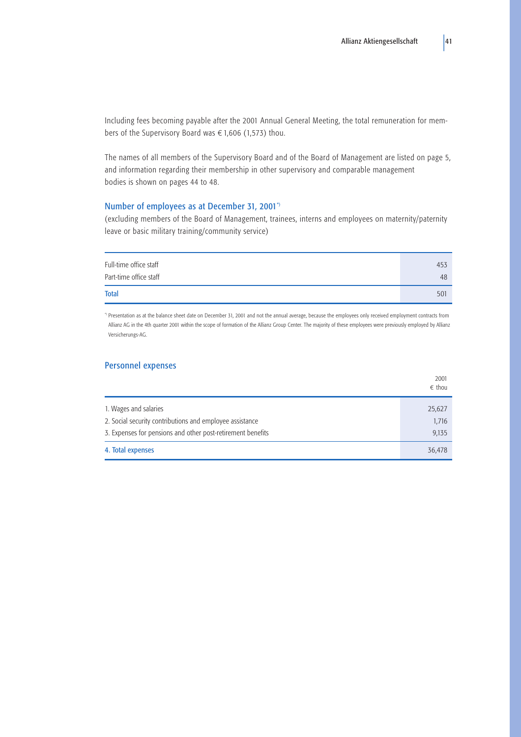Including fees becoming payable after the 2001 Annual General Meeting, the total remuneration for members of the Supervisory Board was  $\epsilon$  1,606 (1,573) thou.

The names of all members of the Supervisory Board and of the Board of Management are listed on page 5, and information regarding their membership in other supervisory and comparable management bodies is shown on pages 44 to 48.

# Number of employees as at December 31, 2001\*)

(excluding members of the Board of Management, trainees, interns and employees on maternity/paternity leave or basic military training/community service)

| Full-time office staff | 453 |
|------------------------|-----|
| Part-time office staff | 48  |
| <b>Total</b>           | 501 |

\*) Presentation as at the balance sheet date on December 31, 2001 and not the annual average, because the employees only received employment contracts from Allianz AG in the 4th quarter 2001 within the scope of formation of the Allianz Group Center. The majority of these employees were previously employed by Allianz Versicherungs-AG.

# Personnel expenses

|                                                             | 2001<br>$\epsilon$ thou |
|-------------------------------------------------------------|-------------------------|
| 1. Wages and salaries                                       | 25,627                  |
| 2. Social security contributions and employee assistance    | 1,716                   |
| 3. Expenses for pensions and other post-retirement benefits | 9,135                   |
| 4. Total expenses                                           | 36,478                  |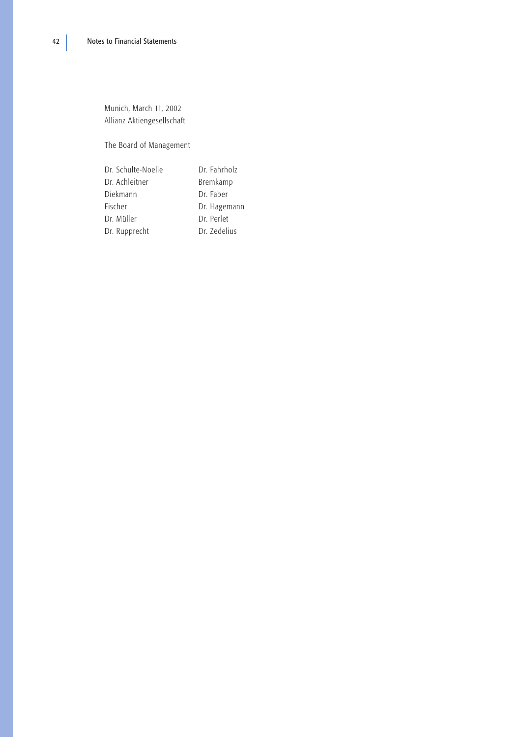Munich, March 11, 2002 Allianz Aktiengesellschaft

The Board of Management

Dr. Schulte-Noelle Dr. Fahrholz Dr. Achleitner Bremkamp Diekmann Dr. Faber Fischer Dr. Hagemann Dr. Müller Dr. Perlet Dr. Rupprecht Dr. Zedelius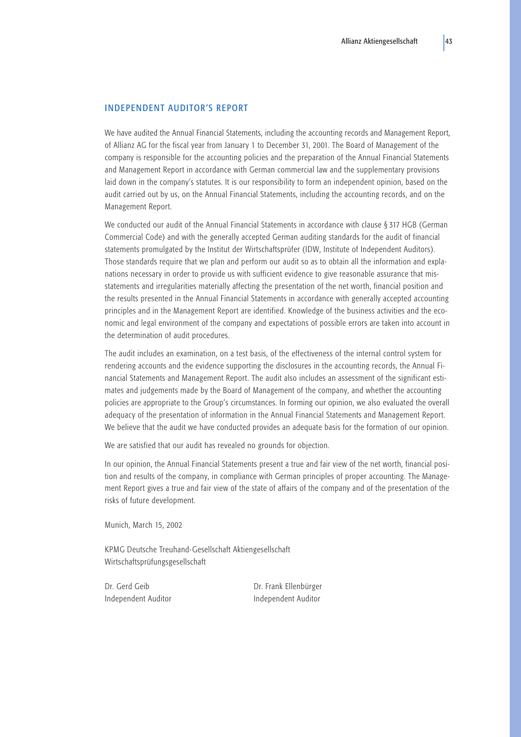## <span id="page-45-0"></span>INDEPENDENT AUDITOR'S REPORT

We have audited the Annual Financial Statements, including the accounting records and Management Report, of Allianz AG for the fiscal year from January 1 to December 31, 2001. The Board of Management of the company is responsible for the accounting policies and the preparation of the Annual Financial Statements and Management Report in accordance with German commercial law and the supplementary provisions laid down in the company's statutes. It is our responsibility to form an independent opinion, based on the audit carried out by us, on the Annual Financial Statements, including the accounting records, and on the Management Report.

We conducted our audit of the Annual Financial Statements in accordance with clause § 317 HGB (German Commercial Code) and with the generally accepted German auditing standards for the audit of financial statements promulgated by the Institut der Wirtschaftsprüfer (IDW, Institute of Independent Auditors). Those standards require that we plan and perform our audit so as to obtain all the information and explanations necessary in order to provide us with sufficient evidence to give reasonable assurance that misstatements and irregularities materially affecting the presentation of the net worth, financial position and the results presented in the Annual Financial Statements in accordance with generally accepted accounting principles and in the Management Report are identified. Knowledge of the business activities and the economic and legal environment of the company and expectations of possible errors are taken into account in the determination of audit procedures.

The audit includes an examination, on a test basis, of the effectiveness of the internal control system for rendering accounts and the evidence supporting the disclosures in the accounting records, the Annual Financial Statements and Management Report. The audit also includes an assessment of the significant estimates and judgements made by the Board of Management of the company, and whether the accounting policies are appropriate to the Group's circumstances. In forming our opinion, we also evaluated the overall adequacy of the presentation of information in the Annual Financial Statements and Management Report. We believe that the audit we have conducted provides an adequate basis for the formation of our opinion.

We are satisfied that our audit has revealed no grounds for objection.

In our opinion, the Annual Financial Statements present a true and fair view of the net worth, financial position and results of the company, in compliance with German principles of proper accounting. The Management Report gives a true and fair view of the state of affairs of the company and of the presentation of the risks of future development.

Munich, March 15, 2002

KPMG Deutsche Treuhand-Gesellschaft Aktiengesellschaft Wirtschaftsprüfungsgesellschaft

Dr. Gerd Geib Dr. Frank Ellenbürger Independent Auditor **Independent Auditor**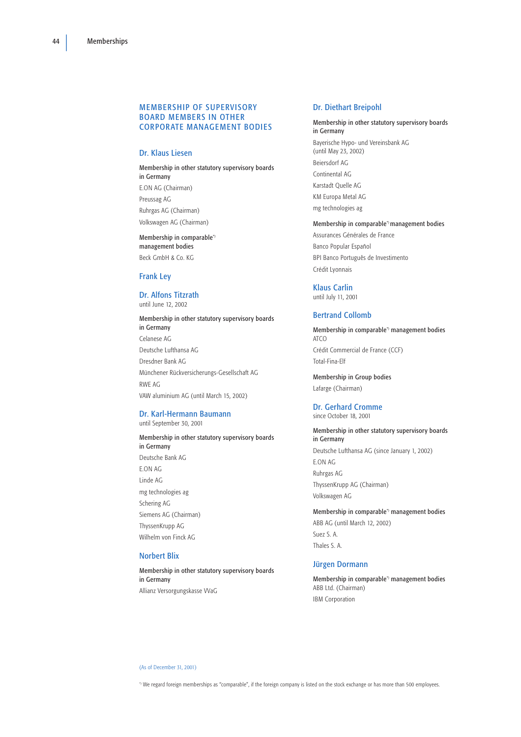## <span id="page-46-0"></span>**MEMBERSHIP OF SUPERVISORY** BOARD MEMBERS IN OTHER CORPORATE MANAGEMENT BODIES

## Dr. Klaus Liesen

Membership in other statutory supervisory boards in Germany E.ON AG (Chairman) Preussag AG Ruhrgas AG (Chairman) Volkswagen AG (Chairman)

Membership in comparable\*) management bodies Beck GmbH & Co. KG

## Frank Ley

#### Dr. Alfons Titzrath until June 12, 2002

Membership in other statutory supervisory boards in Germany Celanese AG Deutsche Lufthansa AG Dresdner Bank AG Münchener Rückversicherungs-Gesellschaft AG RWE AG VAW aluminium AG (until March 15, 2002)

#### Dr. Karl-Hermann Baumann until September 30, 2001

Membership in other statutory supervisory boards in Germany Deutsche Bank AG E.ON AG Linde AG mg technologies ag Schering AG Siemens AG (Chairman) ThyssenKrupp AG Wilhelm von Finck AG

## Norbert Blix

Membership in other statutory supervisory boards in Germany Allianz Versorgungskasse VVaG

#### Dr. Diethart Breipohl

Membership in other statutory supervisory boards in Germany Bayerische Hypo- und Vereinsbank AG (until May 23, 2002) Beiersdorf AG Continental AG Karstadt Quelle AG KM Europa Metal AG mg technologies ag

Membership in comparable\*) management bodies Assurances Générales de France Banco Popular Español BPI Banco Português de Investimento Crédit Lyonnais

# Klaus Carlin

until July 11, 2001

## Bertrand Collomb

Membership in comparable\*) management bodies ATCO Crédit Commercial de France (CCF) Total-Fina-Elf

Membership in Group bodies Lafarge (Chairman)

# Dr. Gerhard Cromme

since October 18, 2001

Membership in other statutory supervisory boards in Germany Deutsche Lufthansa AG (since January 1, 2002) E.ON AG Ruhrgas AG ThyssenKrupp AG (Chairman) Volkswagen AG

Membership in comparable\*) management bodies ABB AG (until March 12, 2002) Suez S. A. Thales S. A.

## Jürgen Dormann

Membership in comparable\*) management bodies ABB Ltd. (Chairman) IBM Corporation

(As of December 31, 2001)

\*) We regard foreign memberships as "comparable", if the foreign company is listed on the stock exchange or has more than 500 employees.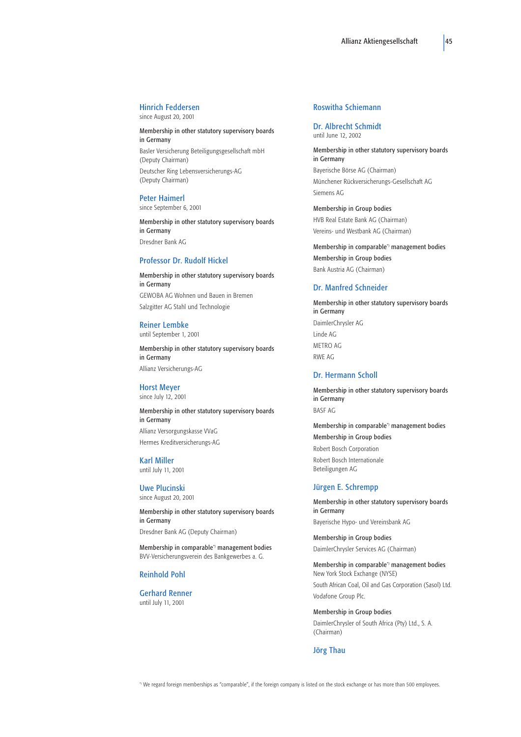# Hinrich Feddersen

since August 20, 2001

Membership in other statutory supervisory boards in Germany Basler Versicherung Beteiligungsgesellschaft mbH (Deputy Chairman) Deutscher Ring Lebensversicherungs-AG (Deputy Chairman)

#### Peter Haimerl

since September 6, 2001

Membership in other statutory supervisory boards in Germany Dresdner Bank AG

#### Professor Dr. Rudolf Hickel

Membership in other statutory supervisory boards in Germany GEWOBA AG Wohnen und Bauen in Bremen Salzgitter AG Stahl und Technologie

#### Reiner Lembke until September 1, 2001

Membership in other statutory supervisory boards in Germany Allianz Versicherungs-AG

#### Horst Meyer since July 12, 2001

Membership in other statutory supervisory boards in Germany Allianz Versorgungskasse VVaG Hermes Kreditversicherungs-AG

## Karl Miller until July 11, 2001

Uwe Plucinski since August 20, 2001

Membership in other statutory supervisory boards in Germany Dresdner Bank AG (Deputy Chairman)

Membership in comparable\*) management bodies BVV-Versicherungsverein des Bankgewerbes a. G.

#### Reinhold Pohl

Gerhard Renner until July 11, 2001

# Roswitha Schiemann

Dr. Albrecht Schmidt until June 12, 2002

Membership in other statutory supervisory boards in Germany Bayerische Börse AG (Chairman) Münchener Rückversicherungs-Gesellschaft AG Siemens AG

Membership in Group bodies HVB Real Estate Bank AG (Chairman) Vereins- und Westbank AG (Chairman)

Membership in comparable\*) management bodies Membership in Group bodies Bank Austria AG (Chairman)

#### Dr. Manfred Schneider

Membership in other statutory supervisory boards in Germany DaimlerChrysler AG Linde AG METRO AC RWE AG

#### Dr. Hermann Scholl

Membership in other statutory supervisory boards in Germany BASF AG

Membership in comparable\*) management bodies Membership in Group bodies Robert Bosch Corporation Robert Bosch Internationale Beteiligungen AG

#### Jürgen E. Schrempp

Membership in other statutory supervisory boards in Germany Bayerische Hypo- und Vereinsbank AG

Membership in Group bodies DaimlerChrysler Services AG (Chairman)

Membership in comparable\*) management bodies New York Stock Exchange (NYSE) South African Coal, Oil and Gas Corporation (Sasol) Ltd. Vodafone Group Plc.

Membership in Group bodies DaimlerChrysler of South Africa (Pty) Ltd., S. A. (Chairman)

#### Jörg Thau

\*) We regard foreign memberships as "comparable", if the foreign company is listed on the stock exchange or has more than 500 employees.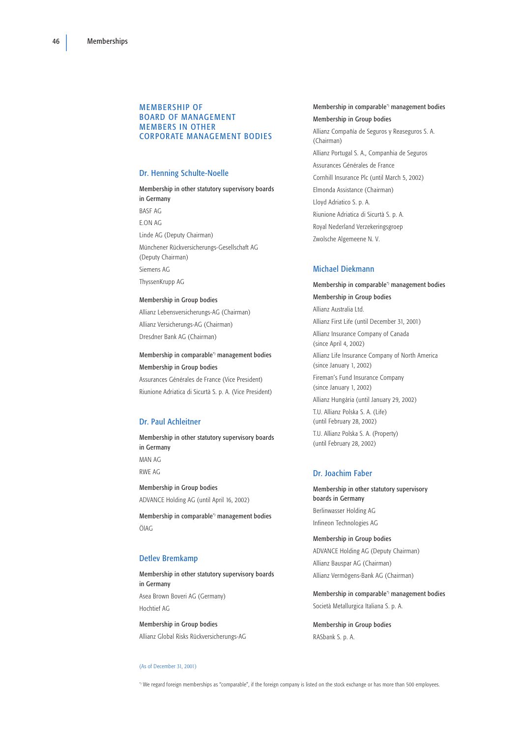### MEMBERSHIP OF BOARD OF MANAGEMENT MEMBERS IN OTHER CORPORATE MANAGEMENT BODIES

### Dr. Henning Schulte-Noelle

Membership in other statutory supervisory boards in Germany BASF AG E.ON AG Linde AG (Deputy Chairman) Münchener Rückversicherungs-Gesellschaft AG (Deputy Chairman) Siemens AG ThyssenKrupp AG

#### Membership in Group bodies

Allianz Lebensversicherungs-AG (Chairman) Allianz Versicherungs-AG (Chairman) Dresdner Bank AG (Chairman)

## Membership in comparable\*) management bodies Membership in Group bodies

Assurances Générales de France (Vice President) Riunione Adriatica di Sicurtà S. p. A. (Vice President)

## Dr. Paul Achleitner

Membership in other statutory supervisory boards in Germany MAN AG RWE AG

Membership in Group bodies ADVANCE Holding AG (until April 16, 2002)

Membership in comparable\*) management bodies ÖlAG

## Detlev Bremkamp

Membership in other statutory supervisory boards in Germany Asea Brown Boveri AG (Germany) Hochtief AG

Membership in Group bodies Allianz Global Risks Rückversicherungs-AG

#### (As of December 31, 2001)

## Membership in comparable\*) management bodies Membership in Group bodies

Allianz Compañía de Seguros y Reaseguros S. A. (Chairman) Allianz Portugal S. A., Companhia de Seguros Assurances Générales de France Cornhill Insurance Plc (until March 5, 2002) Elmonda Assistance (Chairman) Lloyd Adriatico S. p. A. Riunione Adriatica di Sicurtà S. p. A. Royal Nederland Verzekeringsgroep Zwolsche Algemeene N. V.

#### Michael Diekmann

Membership in comparable\*) management bodies Membership in Group bodies Allianz Australia Ltd. Allianz First Life (until December 31, 2001) Allianz Insurance Company of Canada (since April 4, 2002) Allianz Life Insurance Company of North America (since January 1, 2002) Fireman's Fund Insurance Company (since January 1, 2002) Allianz Hungária (until January 29, 2002) T.U. Allianz Polska S. A. (Life) (until February 28, 2002) T.U. Allianz Polska S. A. (Property) (until February 28, 2002)

## Dr. Joachim Faber

Membership in other statutory supervisory boards in Germany Berlinwasser Holding AG Infineon Technologies AG

Membership in Group bodies ADVANCE Holding AG (Deputy Chairman) Allianz Bauspar AG (Chairman) Allianz Vermögens-Bank AG (Chairman)

Membership in comparable\*) management bodies Società Metallurgica Italiana S. p. A.

Membership in Group bodies RASbank S. p. A.

\*) We regard foreign memberships as "comparable", if the foreign company is listed on the stock exchange or has more than 500 employees.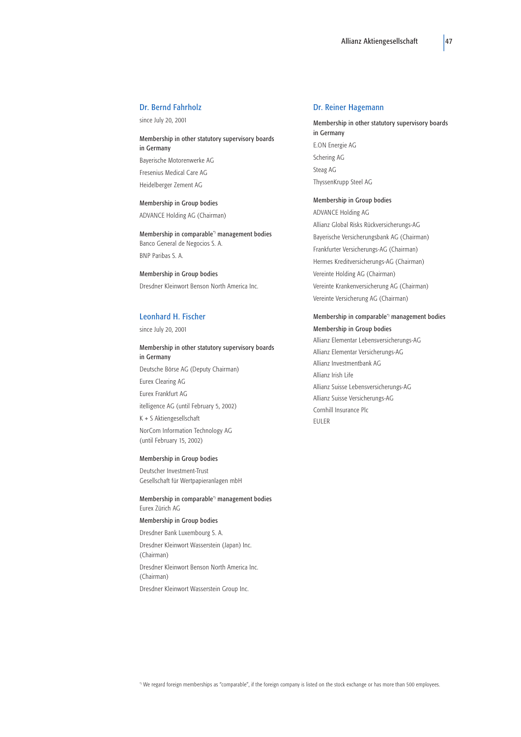## Dr. Bernd Fahrholz

since July 20, 2001

Membership in other statutory supervisory boards in Germany Bayerische Motorenwerke AG Fresenius Medical Care AG Heidelberger Zement AG

Membership in Group bodies ADVANCE Holding AG (Chairman)

Membership in comparable\*) management bodies Banco General de Negocios S. A. BNP Paribas S. A.

Membership in Group bodies Dresdner Kleinwort Benson North America Inc.

#### Leonhard H. Fischer

since July 20, 2001

Membership in other statutory supervisory boards in Germany Deutsche Börse AG (Deputy Chairman) Eurex Clearing AG Eurex Frankfurt AG itelligence AG (until February 5, 2002) K + S Aktiengesellschaft NorCom Information Technology AG (until February 15, 2002)

#### Membership in Group bodies

Deutscher Investment-Trust Gesellschaft für Wertpapieranlagen mbH

Membership in comparable\*) management bodies Eurex Zürich AG

# Membership in Group bodies

Dresdner Bank Luxembourg S. A. Dresdner Kleinwort Wasserstein (Japan) Inc. (Chairman) Dresdner Kleinwort Benson North America Inc. (Chairman)

Dresdner Kleinwort Wasserstein Group Inc.

#### Dr. Reiner Hagemann

Membership in other statutory supervisory boards in Germany E.ON Energie AG Schering AG Steag AG ThyssenKrupp Steel AG

Membership in Group bodies ADVANCE Holding AG Allianz Global Risks Rückversicherungs-AG Bayerische Versicherungsbank AG (Chairman) Frankfurter Versicherungs-AG (Chairman) Hermes Kreditversicherungs-AG (Chairman) Vereinte Holding AG (Chairman) Vereinte Krankenversicherung AG (Chairman) Vereinte Versicherung AG (Chairman)

#### Membership in comparable\*) management bodies

Membership in Group bodies Allianz Elementar Lebensversicherungs-AG Allianz Elementar Versicherungs-AG Allianz Investmentbank AG Allianz Irish Life Allianz Suisse Lebensversicherungs-AG Allianz Suisse Versicherungs-AG Cornhill Insurance Plc EULER